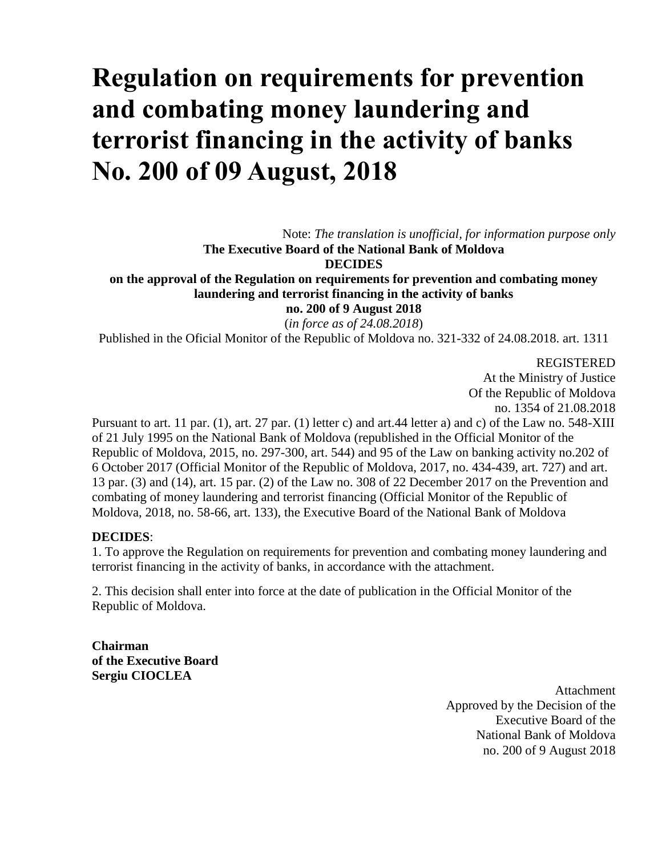# **Regulation on requirements for prevention and combating money laundering and terrorist financing in the activity of banks No. 200 of 09 August, 2018**

Note: *The translation is unofficial, for information purpose only* **The Executive Board of the National Bank of Moldova**

**DECIDES**

**on the approval of the Regulation on requirements for prevention and combating money laundering and terrorist financing in the activity of banks no. 200 of 9 August 2018**

(*in force as of 24.08.2018*)

Published in the Oficial Monitor of the Republic of Moldova no. 321-332 of 24.08.2018. art. 1311

REGISTERED

At the Ministry of Justice Of the Republic of Moldova no. 1354 of 21.08.2018

Pursuant to art. 11 par. (1), art. 27 par. (1) letter c) and art.44 letter a) and c) of the Law no. 548-XIII of 21 July 1995 on the National Bank of Moldova (republished in the Official Monitor of the Republic of Moldova, 2015, no. 297-300, art. 544) and 95 of the Law on banking activity no.202 of 6 October 2017 (Official Monitor of the Republic of Moldova, 2017, no. 434-439, art. 727) and art. 13 par. (3) and (14), art. 15 par. (2) of the Law no. 308 of 22 December 2017 on the Prevention and combating of money laundering and terrorist financing (Official Monitor of the Republic of Moldova, 2018, no. 58-66, art. 133), the Executive Board of the National Bank of Moldova

#### **DECIDES**:

1. To approve the Regulation on requirements for prevention and combating money laundering and terrorist financing in the activity of banks, in accordance with the attachment.

2. This decision shall enter into force at the date of publication in the Official Monitor of the Republic of Moldova.

**Chairman of the Executive Board Sergiu CIOCLEA**

> Attachment Approved by the Decision of the Executive Board of the National Bank of Moldova no. 200 of 9 August 2018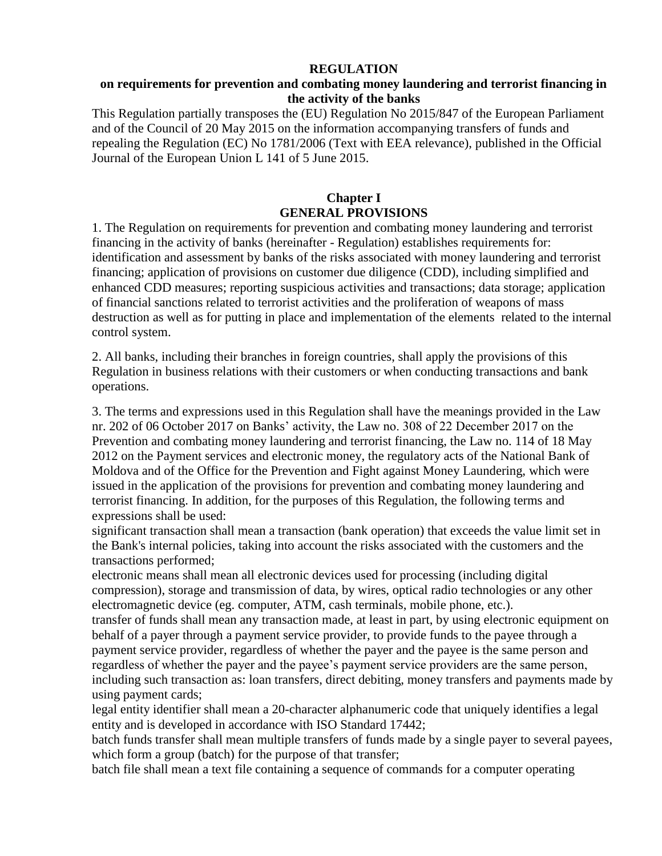#### **REGULATION**

#### **on requirements for prevention and combating money laundering and terrorist financing in the activity of the banks**

This Regulation partially transposes the (EU) Regulation No 2015/847 of the European Parliament and of the Council of 20 May 2015 on the information accompanying transfers of funds and repealing the Regulation (EC) No 1781/2006 (Text with EEA relevance), published in the Official Journal of the European Union L 141 of 5 June 2015.

## **Chapter I GENERAL PROVISIONS**

1. The Regulation on requirements for prevention and combating money laundering and terrorist financing in the activity of banks (hereinafter - Regulation) establishes requirements for: identification and assessment by banks of the risks associated with money laundering and terrorist financing; application of provisions on customer due diligence (CDD), including simplified and enhanced CDD measures; reporting suspicious activities and transactions; data storage; application of financial sanctions related to terrorist activities and the proliferation of weapons of mass destruction as well as for putting in place and implementation of the elements related to the internal control system.

2. All banks, including their branches in foreign countries, shall apply the provisions of this Regulation in business relations with their customers or when conducting transactions and bank operations.

3. The terms and expressions used in this Regulation shall have the meanings provided in the Law nr. 202 of 06 October 2017 on Banks' activity, the Law no. 308 of 22 December 2017 on the Prevention and combating money laundering and terrorist financing, the Law no. 114 of 18 May 2012 on the Payment services and electronic money, the regulatory acts of the National Bank of Moldova and of the Office for the Prevention and Fight against Money Laundering, which were issued in the application of the provisions for prevention and combating money laundering and terrorist financing. In addition, for the purposes of this Regulation, the following terms and expressions shall be used:

significant transaction shall mean a transaction (bank operation) that exceeds the value limit set in the Bank's internal policies, taking into account the risks associated with the customers and the transactions performed;

electronic means shall mean all electronic devices used for processing (including digital compression), storage and transmission of data, by wires, optical radio technologies or any other electromagnetic device (eg. computer, ATM, cash terminals, mobile phone, etc.).

transfer of funds shall mean any transaction made, at least in part, by using electronic equipment on behalf of a payer through a payment service provider, to provide funds to the payee through a payment service provider, regardless of whether the payer and the payee is the same person and regardless of whether the payer and the payee's payment service providers are the same person, including such transaction as: loan transfers, direct debiting, money transfers and payments made by using payment cards;

legal entity identifier shall mean a 20-character alphanumeric code that uniquely identifies a legal entity and is developed in accordance with ISO Standard 17442;

batch funds transfer shall mean multiple transfers of funds made by a single payer to several payees, which form a group (batch) for the purpose of that transfer;

batch file shall mean a text file containing a sequence of commands for a computer operating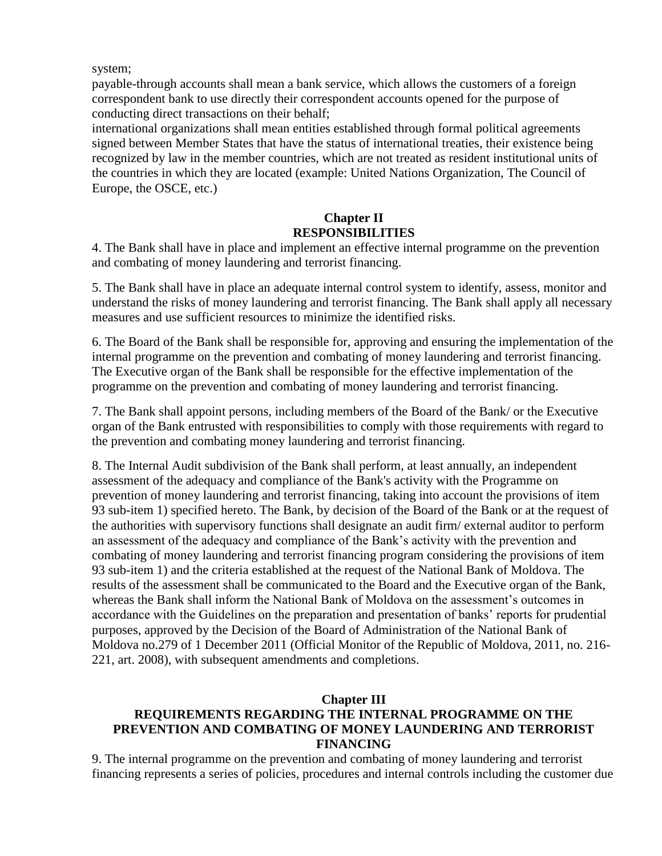system;

payable-through accounts shall mean a bank service, which allows the customers of a foreign correspondent bank to use directly their correspondent accounts opened for the purpose of conducting direct transactions on their behalf;

international organizations shall mean entities established through formal political agreements signed between Member States that have the status of international treaties, their existence being recognized by law in the member countries, which are not treated as resident institutional units of the countries in which they are located (example: United Nations Organization, The Council of Europe, the OSCE, etc.)

# **Chapter II RESPONSIBILITIES**

4. The Bank shall have in place and implement an effective internal programme on the prevention and combating of money laundering and terrorist financing.

5. The Bank shall have in place an adequate internal control system to identify, assess, monitor and understand the risks of money laundering and terrorist financing. The Bank shall apply all necessary measures and use sufficient resources to minimize the identified risks.

6. The Board of the Bank shall be responsible for, approving and ensuring the implementation of the internal programme on the prevention and combating of money laundering and terrorist financing. The Executive organ of the Bank shall be responsible for the effective implementation of the programme on the prevention and combating of money laundering and terrorist financing.

7. The Bank shall appoint persons, including members of the Board of the Bank/ or the Executive organ of the Bank entrusted with responsibilities to comply with those requirements with regard to the prevention and combating money laundering and terrorist financing.

8. The Internal Audit subdivision of the Bank shall perform, at least annually, an independent assessment of the adequacy and compliance of the Bank's activity with the Programme on prevention of money laundering and terrorist financing, taking into account the provisions of item 93 sub-item 1) specified hereto. The Bank, by decision of the Board of the Bank or at the request of the authorities with supervisory functions shall designate an audit firm/ external auditor to perform an assessment of the adequacy and compliance of the Bank's activity with the prevention and combating of money laundering and terrorist financing program considering the provisions of item 93 sub-item 1) and the criteria established at the request of the National Bank of Moldova. The results of the assessment shall be communicated to the Board and the Executive organ of the Bank, whereas the Bank shall inform the National Bank of Moldova on the assessment's outcomes in accordance with the Guidelines on the preparation and presentation of banks' reports for prudential purposes, approved by the Decision of the Board of Administration of the National Bank of Moldova no.279 of 1 December 2011 (Official Monitor of the Republic of Moldova, 2011, no. 216- 221, art. 2008), with subsequent amendments and completions.

## **Chapter III**

# **REQUIREMENTS REGARDING THE INTERNAL PROGRAMME ON THE PREVENTION AND COMBATING OF MONEY LAUNDERING AND TERRORIST FINANCING**

9. The internal programme on the prevention and combating of money laundering and terrorist financing represents a series of policies, procedures and internal controls including the customer due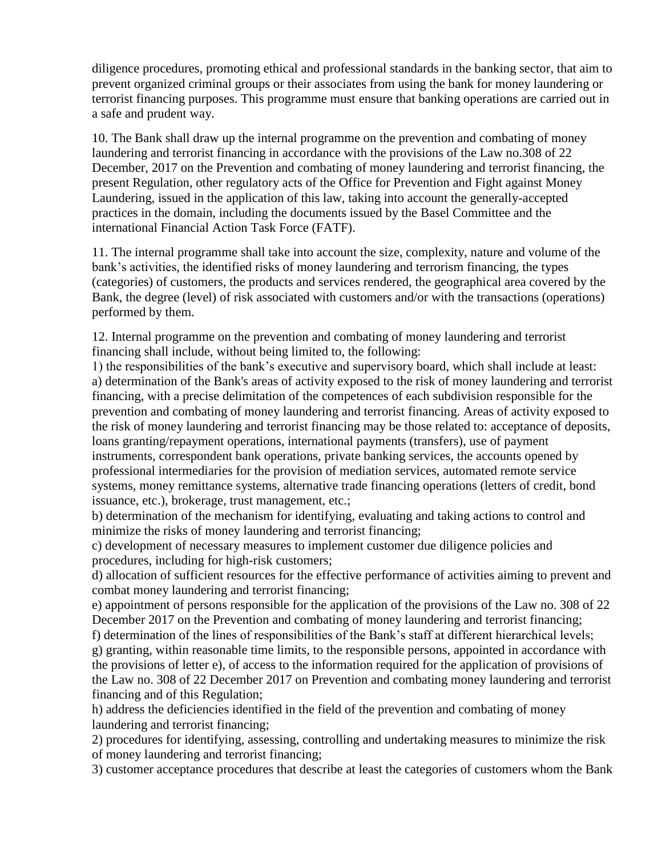diligence procedures, promoting ethical and professional standards in the banking sector, that aim to prevent organized criminal groups or their associates from using the bank for money laundering or terrorist financing purposes. This programme must ensure that banking operations are carried out in a safe and prudent way.

10. The Bank shall draw up the internal programme on the prevention and combating of money laundering and terrorist financing in accordance with the provisions of the Law no.308 of 22 December, 2017 on the Prevention and combating of money laundering and terrorist financing, the present Regulation, other regulatory acts of the Office for Prevention and Fight against Money Laundering, issued in the application of this law, taking into account the generally-accepted practices in the domain, including the documents issued by the Basel Committee and the international Financial Action Task Force (FATF).

11. The internal programme shall take into account the size, complexity, nature and volume of the bank's activities, the identified risks of money laundering and terrorism financing, the types (categories) of customers, the products and services rendered, the geographical area covered by the Bank, the degree (level) of risk associated with customers and/or with the transactions (operations) performed by them.

12. Internal programme on the prevention and combating of money laundering and terrorist financing shall include, without being limited to, the following:

1) the responsibilities of the bank's executive and supervisory board, which shall include at least: a) determination of the Bank's areas of activity exposed to the risk of money laundering and terrorist financing, with a precise delimitation of the competences of each subdivision responsible for the prevention and combating of money laundering and terrorist financing. Areas of activity exposed to the risk of money laundering and terrorist financing may be those related to: acceptance of deposits, loans granting/repayment operations, international payments (transfers), use of payment instruments, correspondent bank operations, private banking services, the accounts opened by professional intermediaries for the provision of mediation services, automated remote service systems, money remittance systems, alternative trade financing operations (letters of credit, bond issuance, etc.), brokerage, trust management, etc.;

b) determination of the mechanism for identifying, evaluating and taking actions to control and minimize the risks of money laundering and terrorist financing;

c) development of necessary measures to implement customer due diligence policies and procedures, including for high-risk customers;

d) allocation of sufficient resources for the effective performance of activities aiming to prevent and combat money laundering and terrorist financing;

e) appointment of persons responsible for the application of the provisions of the Law no. 308 of 22 December 2017 on the Prevention and combating of money laundering and terrorist financing;

f) determination of the lines of responsibilities of the Bank's staff at different hierarchical levels; g) granting, within reasonable time limits, to the responsible persons, appointed in accordance with the provisions of letter e), of access to the information required for the application of provisions of the Law no. 308 of 22 December 2017 on Prevention and combating money laundering and terrorist financing and of this Regulation;

h) address the deficiencies identified in the field of the prevention and combating of money laundering and terrorist financing;

2) procedures for identifying, assessing, controlling and undertaking measures to minimize the risk of money laundering and terrorist financing;

3) customer acceptance procedures that describe at least the categories of customers whom the Bank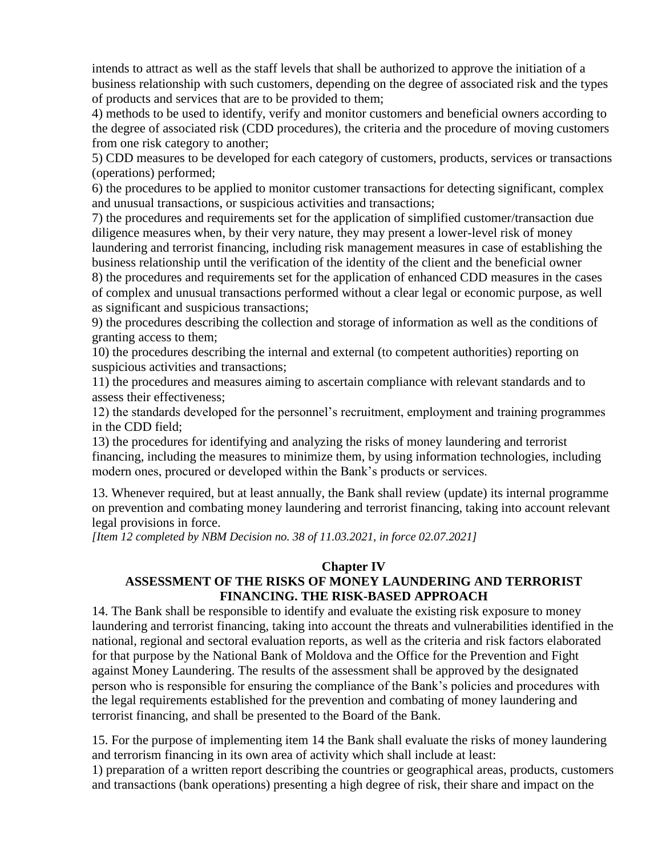intends to attract as well as the staff levels that shall be authorized to approve the initiation of a business relationship with such customers, depending on the degree of associated risk and the types of products and services that are to be provided to them;

4) methods to be used to identify, verify and monitor customers and beneficial owners according to the degree of associated risk (CDD procedures), the criteria and the procedure of moving customers from one risk category to another;

5) CDD measures to be developed for each category of customers, products, services or transactions (operations) performed;

6) the procedures to be applied to monitor customer transactions for detecting significant, complex and unusual transactions, or suspicious activities and transactions;

7) the procedures and requirements set for the application of simplified customer/transaction due diligence measures when, by their very nature, they may present a lower-level risk of money laundering and terrorist financing, including risk management measures in case of establishing the business relationship until the verification of the identity of the client and the beneficial owner

8) the procedures and requirements set for the application of enhanced CDD measures in the cases of complex and unusual transactions performed without a clear legal or economic purpose, as well as significant and suspicious transactions;

9) the procedures describing the collection and storage of information as well as the conditions of granting access to them;

10) the procedures describing the internal and external (to competent authorities) reporting on suspicious activities and transactions;

11) the procedures and measures aiming to ascertain compliance with relevant standards and to assess their effectiveness;

12) the standards developed for the personnel's recruitment, employment and training programmes in the CDD field;

13) the procedures for identifying and analyzing the risks of money laundering and terrorist financing, including the measures to minimize them, by using information technologies, including modern ones, procured or developed within the Bank's products or services.

13. Whenever required, but at least annually, the Bank shall review (update) its internal programme on prevention and combating money laundering and terrorist financing, taking into account relevant legal provisions in force.

*[Item 12 completed by NBM Decision no. 38 of 11.03.2021, in force 02.07.2021]*

#### **Chapter IV**

## **ASSESSMENT OF THE RISKS OF MONEY LAUNDERING AND TERRORIST FINANCING. THE RISK-BASED APPROACH**

14. The Bank shall be responsible to identify and evaluate the existing risk exposure to money laundering and terrorist financing, taking into account the threats and vulnerabilities identified in the national, regional and sectoral evaluation reports, as well as the criteria and risk factors elaborated for that purpose by the National Bank of Moldova and the Office for the Prevention and Fight against Money Laundering. The results of the assessment shall be approved by the designated person who is responsible for ensuring the compliance of the Bank's policies and procedures with the legal requirements established for the prevention and combating of money laundering and terrorist financing, and shall be presented to the Board of the Bank.

15. For the purpose of implementing item 14 the Bank shall evaluate the risks of money laundering and terrorism financing in its own area of activity which shall include at least:

1) preparation of a written report describing the countries or geographical areas, products, customers and transactions (bank operations) presenting a high degree of risk, their share and impact on the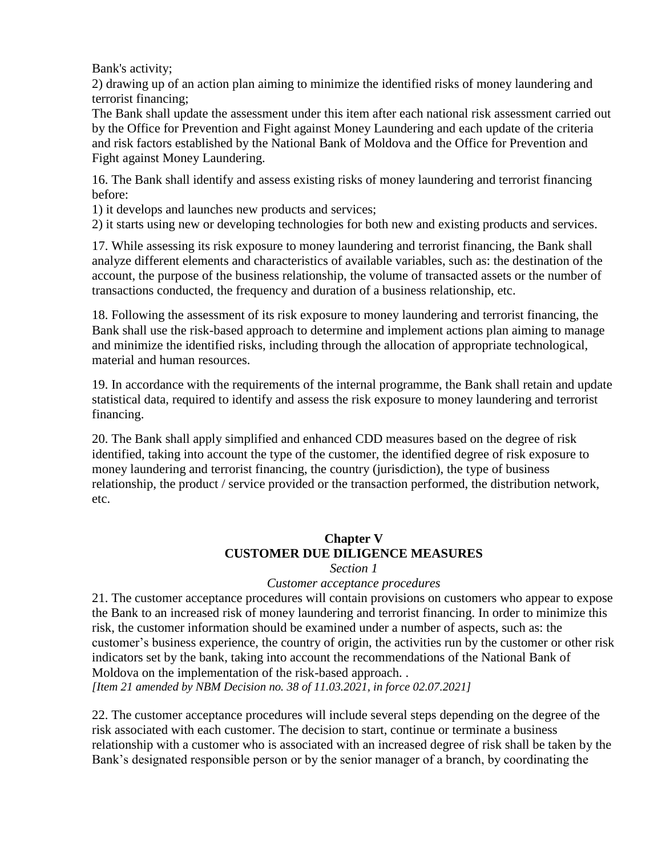Bank's activity;

2) drawing up of an action plan aiming to minimize the identified risks of money laundering and terrorist financing;

The Bank shall update the assessment under this item after each national risk assessment carried out by the Office for Prevention and Fight against Money Laundering and each update of the criteria and risk factors established by the National Bank of Moldova and the Office for Prevention and Fight against Money Laundering.

16. The Bank shall identify and assess existing risks of money laundering and terrorist financing before:

1) it develops and launches new products and services;

2) it starts using new or developing technologies for both new and existing products and services.

17. While assessing its risk exposure to money laundering and terrorist financing, the Bank shall analyze different elements and characteristics of available variables, such as: the destination of the account, the purpose of the business relationship, the volume of transacted assets or the number of transactions conducted, the frequency and duration of a business relationship, etc.

18. Following the assessment of its risk exposure to money laundering and terrorist financing, the Bank shall use the risk-based approach to determine and implement actions plan aiming to manage and minimize the identified risks, including through the allocation of appropriate technological, material and human resources.

19. In accordance with the requirements of the internal programme, the Bank shall retain and update statistical data, required to identify and assess the risk exposure to money laundering and terrorist financing.

20. The Bank shall apply simplified and enhanced CDD measures based on the degree of risk identified, taking into account the type of the customer, the identified degree of risk exposure to money laundering and terrorist financing, the country (jurisdiction), the type of business relationship, the product / service provided or the transaction performed, the distribution network, etc.

# **Chapter V CUSTOMER DUE DILIGENCE MEASURES**

#### *Section 1*

#### *Customer acceptance procedures*

21. The customer acceptance procedures will contain provisions on customers who appear to expose the Bank to an increased risk of money laundering and terrorist financing. In order to minimize this risk, the customer information should be examined under a number of aspects, such as: the customer's business experience, the country of origin, the activities run by the customer or other risk indicators set by the bank, taking into account the recommendations of the National Bank of Moldova on the implementation of the risk-based approach. .

*[Item 21 amended by NBM Decision no. 38 of 11.03.2021, in force 02.07.2021]*

22. The customer acceptance procedures will include several steps depending on the degree of the risk associated with each customer. The decision to start, continue or terminate a business relationship with a customer who is associated with an increased degree of risk shall be taken by the Bank's designated responsible person or by the senior manager of a branch, by coordinating the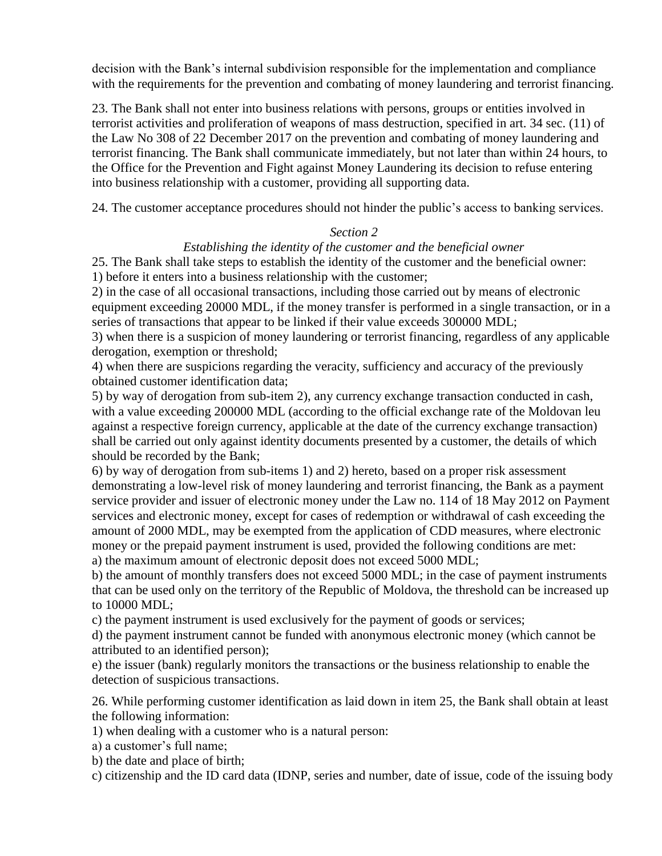decision with the Bank's internal subdivision responsible for the implementation and compliance with the requirements for the prevention and combating of money laundering and terrorist financing.

23. The Bank shall not enter into business relations with persons, groups or entities involved in terrorist activities and proliferation of weapons of mass destruction, specified in art. 34 sec. (11) of the Law No 308 of 22 December 2017 on the prevention and combating of money laundering and terrorist financing. The Bank shall communicate immediately, but not later than within 24 hours, to the Office for the Prevention and Fight against Money Laundering its decision to refuse entering into business relationship with a customer, providing all supporting data.

24. The customer acceptance procedures should not hinder the public's access to banking services.

#### *Section 2*

## *Establishing the identity of the customer and the beneficial owner*

25. The Bank shall take steps to establish the identity of the customer and the beneficial owner: 1) before it enters into a business relationship with the customer;

2) in the case of all occasional transactions, including those carried out by means of electronic equipment exceeding 20000 MDL, if the money transfer is performed in a single transaction, or in a series of transactions that appear to be linked if their value exceeds 300000 MDL;

3) when there is a suspicion of money laundering or terrorist financing, regardless of any applicable derogation, exemption or threshold;

4) when there are suspicions regarding the veracity, sufficiency and accuracy of the previously obtained customer identification data;

5) by way of derogation from sub-item 2), any currency exchange transaction conducted in cash, with a value exceeding 200000 MDL (according to the official exchange rate of the Moldovan leu against a respective foreign currency, applicable at the date of the currency exchange transaction) shall be carried out only against identity documents presented by a customer, the details of which should be recorded by the Bank;

6) by way of derogation from sub-items 1) and 2) hereto, based on a proper risk assessment demonstrating a low-level risk of money laundering and terrorist financing, the Bank as a payment service provider and issuer of electronic money under the Law no. 114 of 18 May 2012 on Payment services and electronic money, except for cases of redemption or withdrawal of cash exceeding the amount of 2000 MDL, may be exempted from the application of CDD measures, where electronic money or the prepaid payment instrument is used, provided the following conditions are met: a) the maximum amount of electronic deposit does not exceed 5000 MDL;

b) the amount of monthly transfers does not exceed 5000 MDL; in the case of payment instruments that can be used only on the territory of the Republic of Moldova, the threshold can be increased up to 10000 MDL;

c) the payment instrument is used exclusively for the payment of goods or services;

d) the payment instrument cannot be funded with anonymous electronic money (which cannot be attributed to an identified person);

e) the issuer (bank) regularly monitors the transactions or the business relationship to enable the detection of suspicious transactions.

26. While performing customer identification as laid down in item 25, the Bank shall obtain at least the following information:

1) when dealing with a customer who is a natural person:

a) a customer's full name;

b) the date and place of birth;

c) citizenship and the ID card data (IDNP, series and number, date of issue, code of the issuing body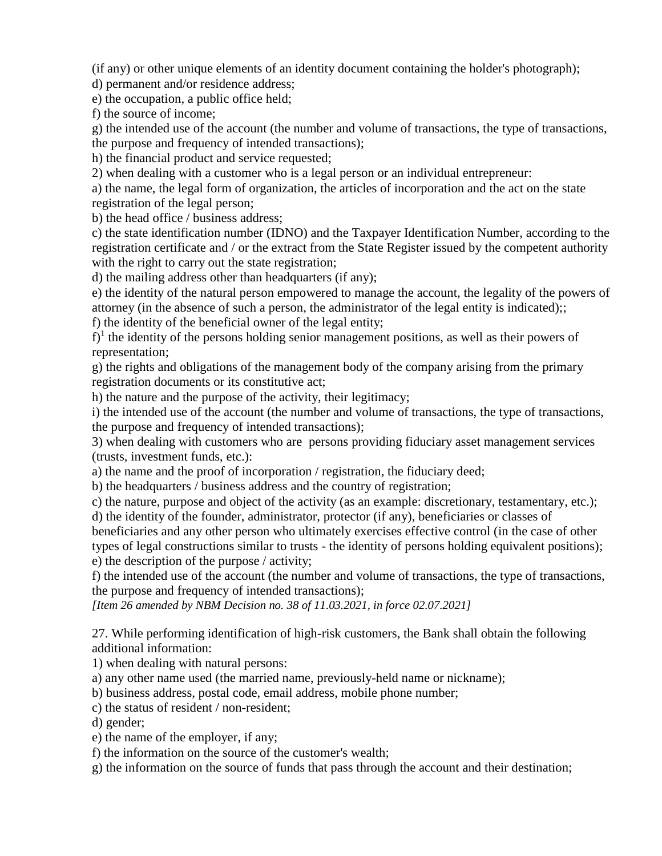(if any) or other unique elements of an identity document containing the holder's photograph);

d) permanent and/or residence address;

e) the occupation, a public office held;

f) the source of income;

g) the intended use of the account (the number and volume of transactions, the type of transactions, the purpose and frequency of intended transactions);

h) the financial product and service requested;

2) when dealing with a customer who is a legal person or an individual entrepreneur:

a) the name, the legal form of organization, the articles of incorporation and the act on the state registration of the legal person;

b) the head office / business address;

c) the state identification number (IDNO) and the Taxpayer Identification Number, according to the registration certificate and / or the extract from the State Register issued by the competent authority with the right to carry out the state registration;

d) the mailing address other than headquarters (if any);

e) the identity of the natural person empowered to manage the account, the legality of the powers of attorney (in the absence of such a person, the administrator of the legal entity is indicated);;

f) the identity of the beneficial owner of the legal entity;

 $f$ <sup>1</sup> the identity of the persons holding senior management positions, as well as their powers of representation;

g) the rights and obligations of the management body of the company arising from the primary registration documents or its constitutive act;

h) the nature and the purpose of the activity, their legitimacy;

i) the intended use of the account (the number and volume of transactions, the type of transactions, the purpose and frequency of intended transactions);

3) when dealing with customers who are persons providing fiduciary asset management services (trusts, investment funds, etc.):

a) the name and the proof of incorporation / registration, the fiduciary deed;

b) the headquarters / business address and the country of registration;

c) the nature, purpose and object of the activity (as an example: discretionary, testamentary, etc.); d) the identity of the founder, administrator, protector (if any), beneficiaries or classes of

beneficiaries and any other person who ultimately exercises effective control (in the case of other types of legal constructions similar to trusts - the identity of persons holding equivalent positions);

e) the description of the purpose / activity;

f) the intended use of the account (the number and volume of transactions, the type of transactions, the purpose and frequency of intended transactions);

*[Item 26 amended by NBM Decision no. 38 of 11.03.2021, in force 02.07.2021]*

27. While performing identification of high-risk customers, the Bank shall obtain the following additional information:

1) when dealing with natural persons:

a) any other name used (the married name, previously-held name or nickname);

b) business address, postal code, email address, mobile phone number;

c) the status of resident / non-resident;

d) gender;

e) the name of the employer, if any;

f) the information on the source of the customer's wealth;

g) the information on the source of funds that pass through the account and their destination;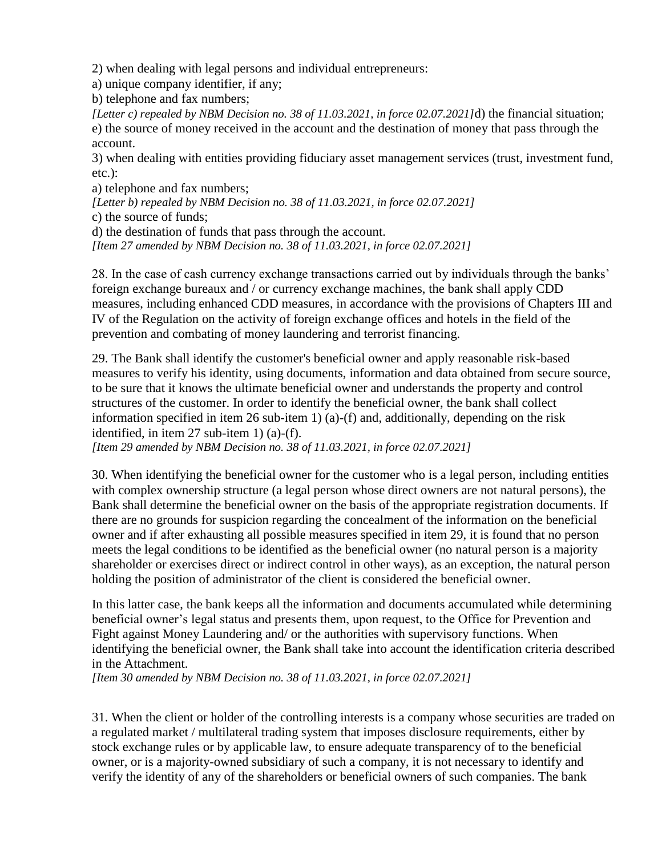2) when dealing with legal persons and individual entrepreneurs:

a) unique company identifier, if any;

b) telephone and fax numbers;

*[Letter c) repealed by NBM Decision no. 38 of 11.03.2021, in force 02.07.2021]*d) the financial situation; e) the source of money received in the account and the destination of money that pass through the account.

3) when dealing with entities providing fiduciary asset management services (trust, investment fund, etc.):

a) telephone and fax numbers;

*[Letter b) repealed by NBM Decision no. 38 of 11.03.2021, in force 02.07.2021]*

c) the source of funds;

d) the destination of funds that pass through the account.

*[Item 27 amended by NBM Decision no. 38 of 11.03.2021, in force 02.07.2021]*

28. In the case of cash currency exchange transactions carried out by individuals through the banks' foreign exchange bureaux and / or currency exchange machines, the bank shall apply CDD measures, including enhanced CDD measures, in accordance with the provisions of Chapters III and IV of the Regulation on the activity of foreign exchange offices and hotels in the field of the prevention and combating of money laundering and terrorist financing.

29. The Bank shall identify the customer's beneficial owner and apply reasonable risk-based measures to verify his identity, using documents, information and data obtained from secure source, to be sure that it knows the ultimate beneficial owner and understands the property and control structures of the customer. In order to identify the beneficial owner, the bank shall collect information specified in item 26 sub-item 1) (a)-(f) and, additionally, depending on the risk identified, in item 27 sub-item 1) (a)-(f).

*[Item 29 amended by NBM Decision no. 38 of 11.03.2021, in force 02.07.2021]*

30. When identifying the beneficial owner for the customer who is a legal person, including entities with complex ownership structure (a legal person whose direct owners are not natural persons), the Bank shall determine the beneficial owner on the basis of the appropriate registration documents. If there are no grounds for suspicion regarding the concealment of the information on the beneficial owner and if after exhausting all possible measures specified in item 29, it is found that no person meets the legal conditions to be identified as the beneficial owner (no natural person is a majority shareholder or exercises direct or indirect control in other ways), as an exception, the natural person holding the position of administrator of the client is considered the beneficial owner.

In this latter case, the bank keeps all the information and documents accumulated while determining beneficial owner's legal status and presents them, upon request, to the Office for Prevention and Fight against Money Laundering and/ or the authorities with supervisory functions. When identifying the beneficial owner, the Bank shall take into account the identification criteria described in the Attachment.

*[Item 30 amended by NBM Decision no. 38 of 11.03.2021, in force 02.07.2021]*

31. When the client or holder of the controlling interests is a company whose securities are traded on a regulated market / multilateral trading system that imposes disclosure requirements, either by stock exchange rules or by applicable law, to ensure adequate transparency of to the beneficial owner, or is a majority-owned subsidiary of such a company, it is not necessary to identify and verify the identity of any of the shareholders or beneficial owners of such companies. The bank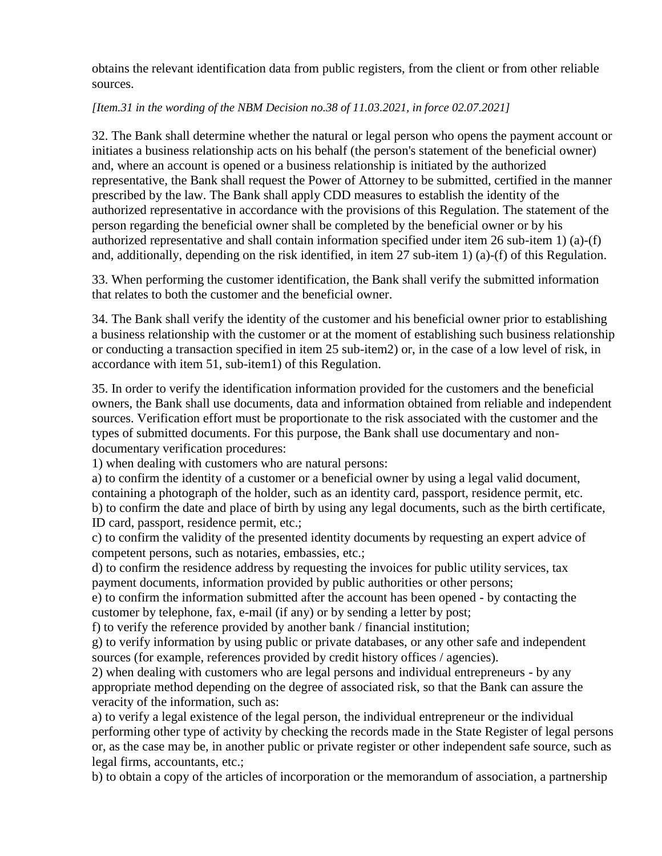obtains the relevant identification data from public registers, from the client or from other reliable sources.

#### *[Item.31 in the wording of the NBM Decision no.38 of 11.03.2021, in force 02.07.2021]*

32. The Bank shall determine whether the natural or legal person who opens the payment account or initiates a business relationship acts on his behalf (the person's statement of the beneficial owner) and, where an account is opened or a business relationship is initiated by the authorized representative, the Bank shall request the Power of Attorney to be submitted, certified in the manner prescribed by the law. The Bank shall apply CDD measures to establish the identity of the authorized representative in accordance with the provisions of this Regulation. The statement of the person regarding the beneficial owner shall be completed by the beneficial owner or by his authorized representative and shall contain information specified under item 26 sub-item 1) (a)-(f) and, additionally, depending on the risk identified, in item 27 sub-item 1) (a)-(f) of this Regulation.

33. When performing the customer identification, the Bank shall verify the submitted information that relates to both the customer and the beneficial owner.

34. The Bank shall verify the identity of the customer and his beneficial owner prior to establishing a business relationship with the customer or at the moment of establishing such business relationship or conducting a transaction specified in item 25 sub-item2) or, in the case of a low level of risk, in accordance with item 51, sub-item1) of this Regulation.

35. In order to verify the identification information provided for the customers and the beneficial owners, the Bank shall use documents, data and information obtained from reliable and independent sources. Verification effort must be proportionate to the risk associated with the customer and the types of submitted documents. For this purpose, the Bank shall use documentary and nondocumentary verification procedures:

1) when dealing with customers who are natural persons:

a) to confirm the identity of a customer or a beneficial owner by using a legal valid document, containing a photograph of the holder, such as an identity card, passport, residence permit, etc. b) to confirm the date and place of birth by using any legal documents, such as the birth certificate, ID card, passport, residence permit, etc.;

c) to confirm the validity of the presented identity documents by requesting an expert advice of competent persons, such as notaries, embassies, etc.;

d) to confirm the residence address by requesting the invoices for public utility services, tax payment documents, information provided by public authorities or other persons;

e) to confirm the information submitted after the account has been opened - by contacting the customer by telephone, fax, e-mail (if any) or by sending a letter by post;

f) to verify the reference provided by another bank / financial institution;

g) to verify information by using public or private databases, or any other safe and independent sources (for example, references provided by credit history offices / agencies).

2) when dealing with customers who are legal persons and individual entrepreneurs - by any appropriate method depending on the degree of associated risk, so that the Bank can assure the veracity of the information, such as:

a) to verify a legal existence of the legal person, the individual entrepreneur or the individual performing other type of activity by checking the records made in the State Register of legal persons or, as the case may be, in another public or private register or other independent safe source, such as legal firms, accountants, etc.;

b) to obtain a copy of the articles of incorporation or the memorandum of association, a partnership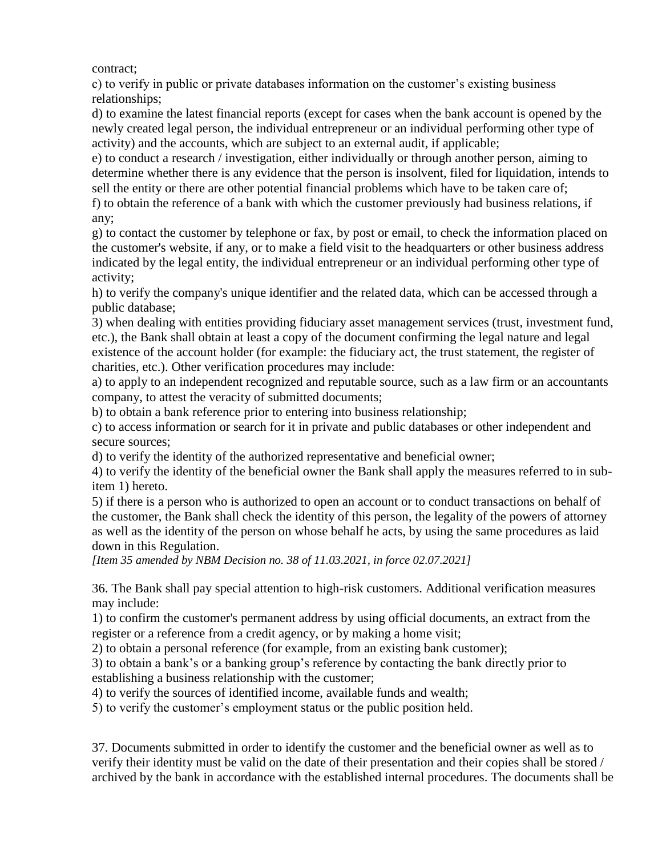contract;

c) to verify in public or private databases information on the customer's existing business relationships;

d) to examine the latest financial reports (except for cases when the bank account is opened by the newly created legal person, the individual entrepreneur or an individual performing other type of activity) and the accounts, which are subject to an external audit, if applicable;

e) to conduct a research / investigation, either individually or through another person, aiming to determine whether there is any evidence that the person is insolvent, filed for liquidation, intends to sell the entity or there are other potential financial problems which have to be taken care of;

f) to obtain the reference of a bank with which the customer previously had business relations, if any;

g) to contact the customer by telephone or fax, by post or email, to check the information placed on the customer's website, if any, or to make a field visit to the headquarters or other business address indicated by the legal entity, the individual entrepreneur or an individual performing other type of activity;

h) to verify the company's unique identifier and the related data, which can be accessed through a public database;

3) when dealing with entities providing fiduciary asset management services (trust, investment fund, etc.), the Bank shall obtain at least a copy of the document confirming the legal nature and legal existence of the account holder (for example: the fiduciary act, the trust statement, the register of charities, etc.). Other verification procedures may include:

a) to apply to an independent recognized and reputable source, such as a law firm or an accountants company, to attest the veracity of submitted documents;

b) to obtain a bank reference prior to entering into business relationship;

c) to access information or search for it in private and public databases or other independent and secure sources:

d) to verify the identity of the authorized representative and beneficial owner;

4) to verify the identity of the beneficial owner the Bank shall apply the measures referred to in subitem 1) hereto.

5) if there is a person who is authorized to open an account or to conduct transactions on behalf of the customer, the Bank shall check the identity of this person, the legality of the powers of attorney as well as the identity of the person on whose behalf he acts, by using the same procedures as laid down in this Regulation.

*[Item 35 amended by NBM Decision no. 38 of 11.03.2021, in force 02.07.2021]*

36. The Bank shall pay special attention to high-risk customers. Additional verification measures may include:

1) to confirm the customer's permanent address by using official documents, an extract from the register or a reference from a credit agency, or by making a home visit;

2) to obtain a personal reference (for example, from an existing bank customer);

3) to obtain a bank's or a banking group's reference by contacting the bank directly prior to establishing a business relationship with the customer;

4) to verify the sources of identified income, available funds and wealth;

5) to verify the customer's employment status or the public position held.

37. Documents submitted in order to identify the customer and the beneficial owner as well as to verify their identity must be valid on the date of their presentation and their copies shall be stored / archived by the bank in accordance with the established internal procedures. The documents shall be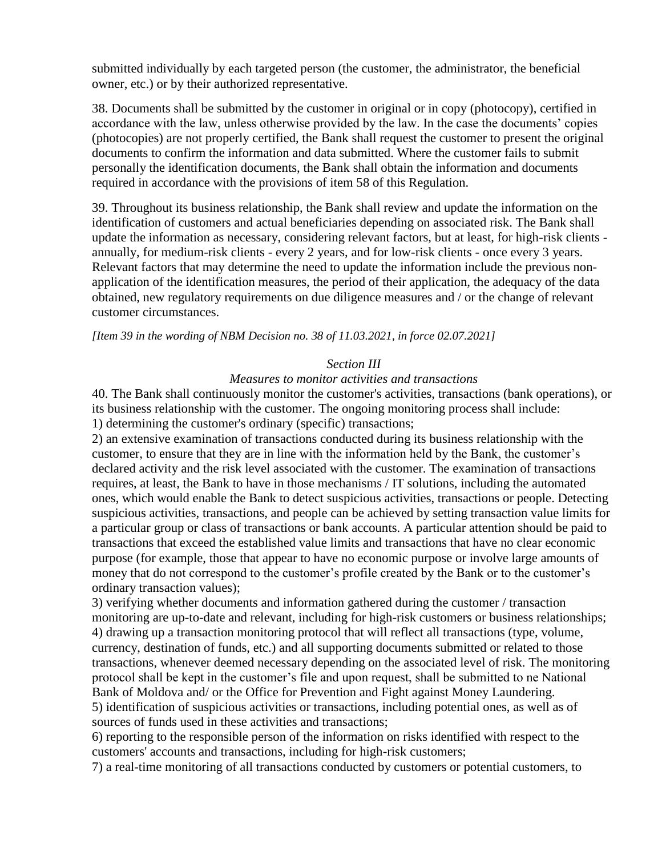submitted individually by each targeted person (the customer, the administrator, the beneficial owner, etc.) or by their authorized representative.

38. Documents shall be submitted by the customer in original or in copy (photocopy), certified in accordance with the law, unless otherwise provided by the law. In the case the documents' copies (photocopies) are not properly certified, the Bank shall request the customer to present the original documents to confirm the information and data submitted. Where the customer fails to submit personally the identification documents, the Bank shall obtain the information and documents required in accordance with the provisions of item 58 of this Regulation.

39. Throughout its business relationship, the Bank shall review and update the information on the identification of customers and actual beneficiaries depending on associated risk. The Bank shall update the information as necessary, considering relevant factors, but at least, for high-risk clients annually, for medium-risk clients - every 2 years, and for low-risk clients - once every 3 years. Relevant factors that may determine the need to update the information include the previous nonapplication of the identification measures, the period of their application, the adequacy of the data obtained, new regulatory requirements on due diligence measures and / or the change of relevant customer circumstances.

*[Item 39 in the wording of NBM Decision no. 38 of 11.03.2021, in force 02.07.2021]*

#### *Section III*

#### *Measures to monitor activities and transactions*

40. The Bank shall continuously monitor the customer's activities, transactions (bank operations), or its business relationship with the customer. The ongoing monitoring process shall include: 1) determining the customer's ordinary (specific) transactions;

2) an extensive examination of transactions conducted during its business relationship with the customer, to ensure that they are in line with the information held by the Bank, the customer's declared activity and the risk level associated with the customer. The examination of transactions requires, at least, the Bank to have in those mechanisms / IT solutions, including the automated ones, which would enable the Bank to detect suspicious activities, transactions or people. Detecting suspicious activities, transactions, and people can be achieved by setting transaction value limits for a particular group or class of transactions or bank accounts. A particular attention should be paid to transactions that exceed the established value limits and transactions that have no clear economic purpose (for example, those that appear to have no economic purpose or involve large amounts of money that do not correspond to the customer's profile created by the Bank or to the customer's ordinary transaction values);

3) verifying whether documents and information gathered during the customer / transaction monitoring are up-to-date and relevant, including for high-risk customers or business relationships; 4) drawing up a transaction monitoring protocol that will reflect all transactions (type, volume, currency, destination of funds, etc.) and all supporting documents submitted or related to those transactions, whenever deemed necessary depending on the associated level of risk. The monitoring protocol shall be kept in the customer's file and upon request, shall be submitted to ne National Bank of Moldova and/ or the Office for Prevention and Fight against Money Laundering. 5) identification of suspicious activities or transactions, including potential ones, as well as of sources of funds used in these activities and transactions;

6) reporting to the responsible person of the information on risks identified with respect to the customers' accounts and transactions, including for high-risk customers;

7) a real-time monitoring of all transactions conducted by customers or potential customers, to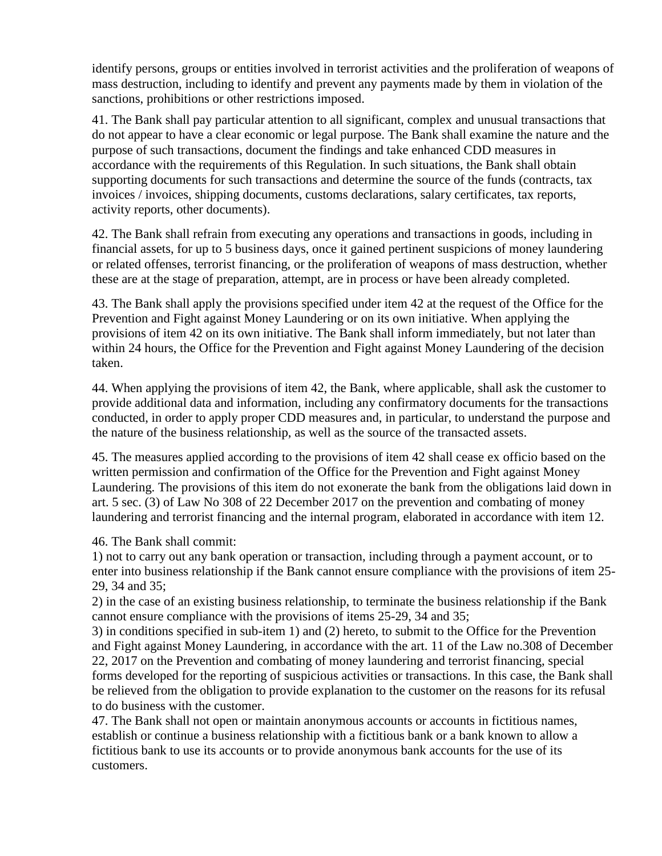identify persons, groups or entities involved in terrorist activities and the proliferation of weapons of mass destruction, including to identify and prevent any payments made by them in violation of the sanctions, prohibitions or other restrictions imposed.

41. The Bank shall pay particular attention to all significant, complex and unusual transactions that do not appear to have a clear economic or legal purpose. The Bank shall examine the nature and the purpose of such transactions, document the findings and take enhanced CDD measures in accordance with the requirements of this Regulation. In such situations, the Bank shall obtain supporting documents for such transactions and determine the source of the funds (contracts, tax invoices / invoices, shipping documents, customs declarations, salary certificates, tax reports, activity reports, other documents).

42. The Bank shall refrain from executing any operations and transactions in goods, including in financial assets, for up to 5 business days, once it gained pertinent suspicions of money laundering or related offenses, terrorist financing, or the proliferation of weapons of mass destruction, whether these are at the stage of preparation, attempt, are in process or have been already completed.

43. The Bank shall apply the provisions specified under item 42 at the request of the Office for the Prevention and Fight against Money Laundering or on its own initiative. When applying the provisions of item 42 on its own initiative. The Bank shall inform immediately, but not later than within 24 hours, the Office for the Prevention and Fight against Money Laundering of the decision taken.

44. When applying the provisions of item 42, the Bank, where applicable, shall ask the customer to provide additional data and information, including any confirmatory documents for the transactions conducted, in order to apply proper CDD measures and, in particular, to understand the purpose and the nature of the business relationship, as well as the source of the transacted assets.

45. The measures applied according to the provisions of item 42 shall cease ex officio based on the written permission and confirmation of the Office for the Prevention and Fight against Money Laundering. The provisions of this item do not exonerate the bank from the obligations laid down in art. 5 sec. (3) of Law No 308 of 22 December 2017 on the prevention and combating of money laundering and terrorist financing and the internal program, elaborated in accordance with item 12.

46. The Bank shall commit:

1) not to carry out any bank operation or transaction, including through a payment account, or to enter into business relationship if the Bank cannot ensure compliance with the provisions of item 25- 29, 34 and 35;

2) in the case of an existing business relationship, to terminate the business relationship if the Bank cannot ensure compliance with the provisions of items 25-29, 34 and 35;

3) in conditions specified in sub-item 1) and (2) hereto, to submit to the Office for the Prevention and Fight against Money Laundering, in accordance with the art. 11 of the Law no.308 of December 22, 2017 on the Prevention and combating of money laundering and terrorist financing, special forms developed for the reporting of suspicious activities or transactions. In this case, the Bank shall be relieved from the obligation to provide explanation to the customer on the reasons for its refusal to do business with the customer.

47. The Bank shall not open or maintain anonymous accounts or accounts in fictitious names, establish or continue a business relationship with a fictitious bank or a bank known to allow a fictitious bank to use its accounts or to provide anonymous bank accounts for the use of its customers.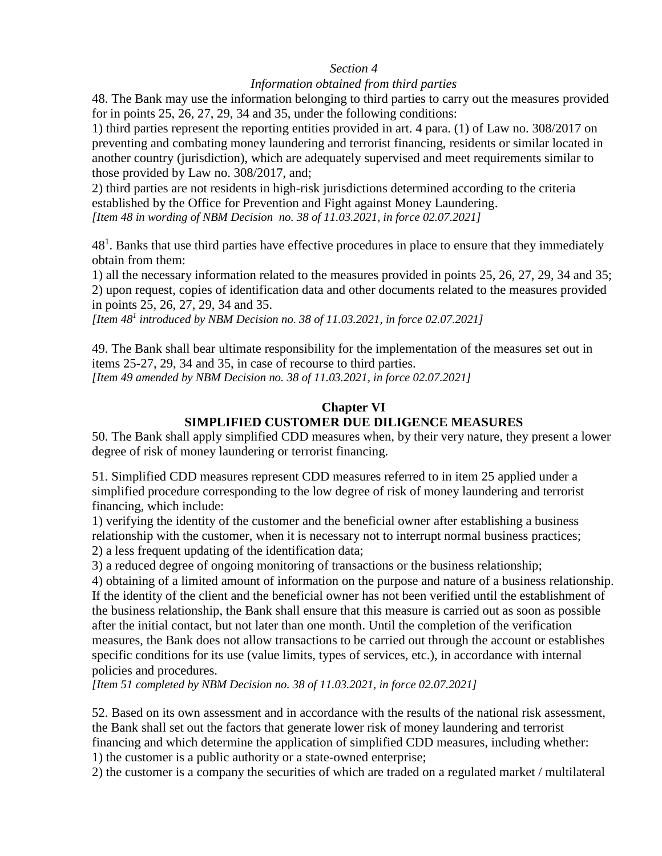#### *Section 4*

#### *Information obtained from third parties*

48. The Bank may use the information belonging to third parties to carry out the measures provided for in points 25, 26, 27, 29, 34 and 35, under the following conditions:

1) third parties represent the reporting entities provided in art. 4 para. (1) of Law no. 308/2017 on preventing and combating money laundering and terrorist financing, residents or similar located in another country (jurisdiction), which are adequately supervised and meet requirements similar to those provided by Law no. 308/2017, and;

2) third parties are not residents in high-risk jurisdictions determined according to the criteria established by the Office for Prevention and Fight against Money Laundering. *[Item 48 in wording of NBM Decision no. 38 of 11.03.2021, in force 02.07.2021]*

 $48<sup>1</sup>$ . Banks that use third parties have effective procedures in place to ensure that they immediately obtain from them:

1) all the necessary information related to the measures provided in points 25, 26, 27, 29, 34 and 35; 2) upon request, copies of identification data and other documents related to the measures provided in points 25, 26, 27, 29, 34 and 35.

*[Item 48<sup>1</sup> introduced by NBM Decision no. 38 of 11.03.2021, in force 02.07.2021]*

49. The Bank shall bear ultimate responsibility for the implementation of the measures set out in items 25-27, 29, 34 and 35, in case of recourse to third parties. *[Item 49 amended by NBM Decision no. 38 of 11.03.2021, in force 02.07.2021]*

# **Chapter VI SIMPLIFIED CUSTOMER DUE DILIGENCE MEASURES**

50. The Bank shall apply simplified CDD measures when, by their very nature, they present a lower degree of risk of money laundering or terrorist financing.

51. Simplified CDD measures represent CDD measures referred to in item 25 applied under a simplified procedure corresponding to the low degree of risk of money laundering and terrorist financing, which include:

1) verifying the identity of the customer and the beneficial owner after establishing a business relationship with the customer, when it is necessary not to interrupt normal business practices; 2) a less frequent updating of the identification data;

3) a reduced degree of ongoing monitoring of transactions or the business relationship;

4) obtaining of a limited amount of information on the purpose and nature of a business relationship. If the identity of the client and the beneficial owner has not been verified until the establishment of the business relationship, the Bank shall ensure that this measure is carried out as soon as possible after the initial contact, but not later than one month. Until the completion of the verification measures, the Bank does not allow transactions to be carried out through the account or establishes specific conditions for its use (value limits, types of services, etc.), in accordance with internal policies and procedures.

*[Item 51 completed by NBM Decision no. 38 of 11.03.2021, in force 02.07.2021]*

52. Based on its own assessment and in accordance with the results of the national risk assessment, the Bank shall set out the factors that generate lower risk of money laundering and terrorist financing and which determine the application of simplified CDD measures, including whether:

1) the customer is a public authority or a state-owned enterprise;

2) the customer is a company the securities of which are traded on a regulated market / multilateral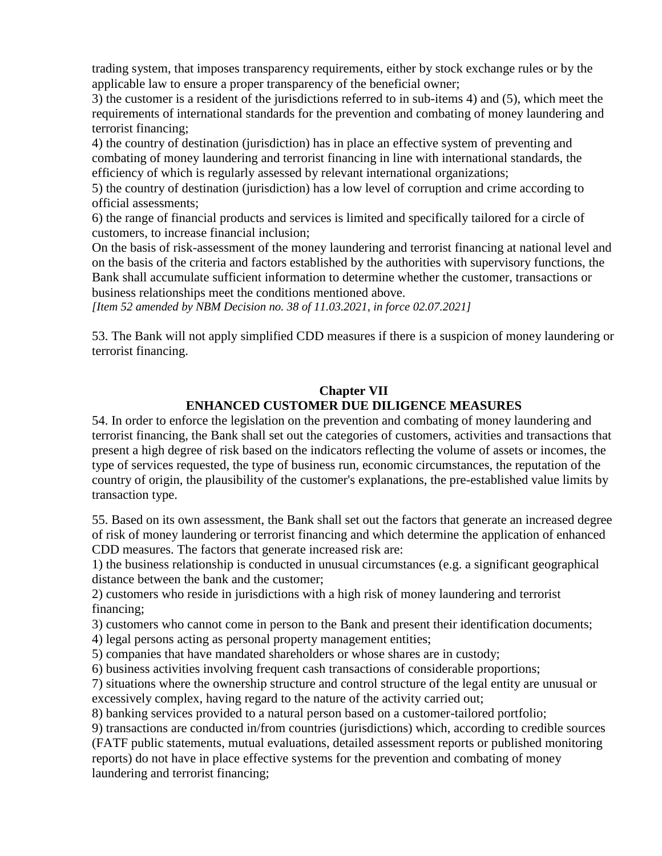trading system, that imposes transparency requirements, either by stock exchange rules or by the applicable law to ensure a proper transparency of the beneficial owner;

3) the customer is a resident of the jurisdictions referred to in sub-items 4) and (5), which meet the requirements of international standards for the prevention and combating of money laundering and terrorist financing;

4) the country of destination (jurisdiction) has in place an effective system of preventing and combating of money laundering and terrorist financing in line with international standards, the efficiency of which is regularly assessed by relevant international organizations;

5) the country of destination (jurisdiction) has a low level of corruption and crime according to official assessments;

6) the range of financial products and services is limited and specifically tailored for a circle of customers, to increase financial inclusion;

On the basis of risk-assessment of the money laundering and terrorist financing at national level and on the basis of the criteria and factors established by the authorities with supervisory functions, the Bank shall accumulate sufficient information to determine whether the customer, transactions or business relationships meet the conditions mentioned above.

*[Item 52 amended by NBM Decision no. 38 of 11.03.2021, in force 02.07.2021]*

53. The Bank will not apply simplified CDD measures if there is a suspicion of money laundering or terrorist financing.

# **Chapter VII ENHANCED CUSTOMER DUE DILIGENCE MEASURES**

54. In order to enforce the legislation on the prevention and combating of money laundering and terrorist financing, the Bank shall set out the categories of customers, activities and transactions that present a high degree of risk based on the indicators reflecting the volume of assets or incomes, the type of services requested, the type of business run, economic circumstances, the reputation of the country of origin, the plausibility of the customer's explanations, the pre-established value limits by transaction type.

55. Based on its own assessment, the Bank shall set out the factors that generate an increased degree of risk of money laundering or terrorist financing and which determine the application of enhanced CDD measures. The factors that generate increased risk are:

1) the business relationship is conducted in unusual circumstances (e.g. a significant geographical distance between the bank and the customer;

2) customers who reside in jurisdictions with a high risk of money laundering and terrorist financing;

3) customers who cannot come in person to the Bank and present their identification documents;

4) legal persons acting as personal property management entities;

5) companies that have mandated shareholders or whose shares are in custody;

6) business activities involving frequent cash transactions of considerable proportions;

7) situations where the ownership structure and control structure of the legal entity are unusual or excessively complex, having regard to the nature of the activity carried out;

8) banking services provided to a natural person based on a customer-tailored portfolio;

9) transactions are conducted in/from countries (jurisdictions) which, according to credible sources (FATF public statements, mutual evaluations, detailed assessment reports or published monitoring reports) do not have in place effective systems for the prevention and combating of money laundering and terrorist financing;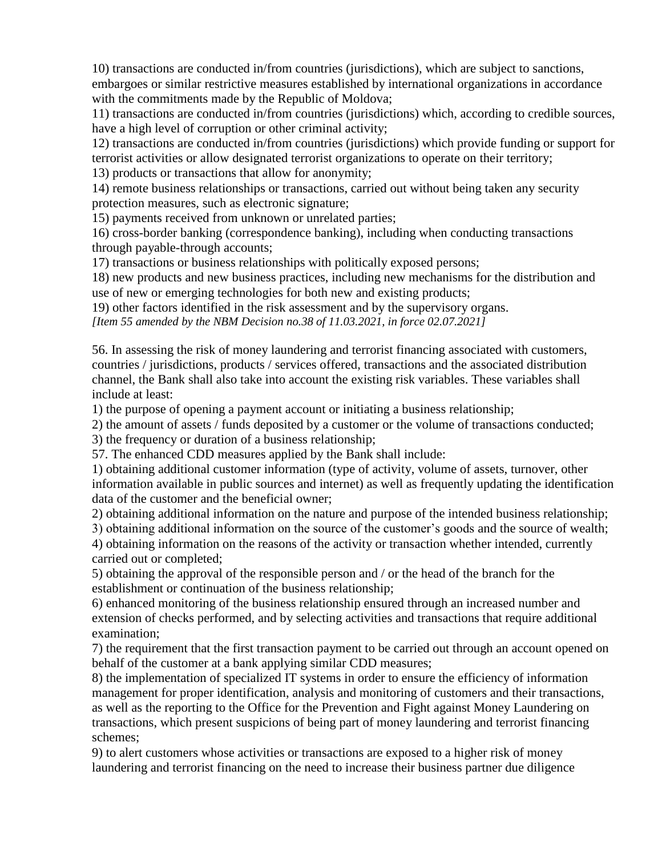10) transactions are conducted in/from countries (jurisdictions), which are subject to sanctions, embargoes or similar restrictive measures established by international organizations in accordance with the commitments made by the Republic of Moldova;

11) transactions are conducted in/from countries (jurisdictions) which, according to credible sources, have a high level of corruption or other criminal activity;

12) transactions are conducted in/from countries (jurisdictions) which provide funding or support for terrorist activities or allow designated terrorist organizations to operate on their territory;

13) products or transactions that allow for anonymity;

14) remote business relationships or transactions, carried out without being taken any security protection measures, such as electronic signature;

15) payments received from unknown or unrelated parties;

16) cross-border banking (correspondence banking), including when conducting transactions through payable-through accounts;

17) transactions or business relationships with politically exposed persons;

18) new products and new business practices, including new mechanisms for the distribution and use of new or emerging technologies for both new and existing products;

19) other factors identified in the risk assessment and by the supervisory organs.

*[Item 55 amended by the NBM Decision no.38 of 11.03.2021, in force 02.07.2021]*

56. In assessing the risk of money laundering and terrorist financing associated with customers, countries / jurisdictions, products / services offered, transactions and the associated distribution channel, the Bank shall also take into account the existing risk variables. These variables shall include at least:

1) the purpose of opening a payment account or initiating a business relationship;

2) the amount of assets / funds deposited by a customer or the volume of transactions conducted;

3) the frequency or duration of a business relationship;

57. The enhanced CDD measures applied by the Bank shall include:

1) obtaining additional customer information (type of activity, volume of assets, turnover, other information available in public sources and internet) as well as frequently updating the identification data of the customer and the beneficial owner;

2) obtaining additional information on the nature and purpose of the intended business relationship;

3) obtaining additional information on the source of the customer's goods and the source of wealth; 4) obtaining information on the reasons of the activity or transaction whether intended, currently

carried out or completed;

5) obtaining the approval of the responsible person and / or the head of the branch for the establishment or continuation of the business relationship;

6) enhanced monitoring of the business relationship ensured through an increased number and extension of checks performed, and by selecting activities and transactions that require additional examination;

7) the requirement that the first transaction payment to be carried out through an account opened on behalf of the customer at a bank applying similar CDD measures;

8) the implementation of specialized IT systems in order to ensure the efficiency of information management for proper identification, analysis and monitoring of customers and their transactions, as well as the reporting to the Office for the Prevention and Fight against Money Laundering on transactions, which present suspicions of being part of money laundering and terrorist financing schemes;

9) to alert customers whose activities or transactions are exposed to a higher risk of money laundering and terrorist financing on the need to increase their business partner due diligence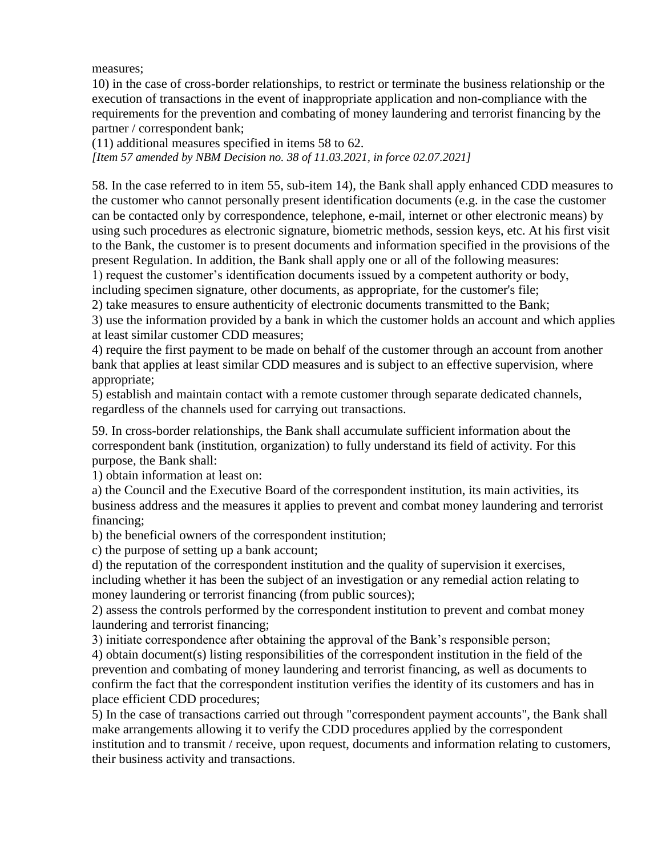measures;

10) in the case of cross-border relationships, to restrict or terminate the business relationship or the execution of transactions in the event of inappropriate application and non-compliance with the requirements for the prevention and combating of money laundering and terrorist financing by the partner / correspondent bank;

(11) additional measures specified in items 58 to 62.

*[Item 57 amended by NBM Decision no. 38 of 11.03.2021, in force 02.07.2021]*

58. In the case referred to in item 55, sub-item 14), the Bank shall apply enhanced CDD measures to the customer who cannot personally present identification documents (e.g. in the case the customer can be contacted only by correspondence, telephone, e-mail, internet or other electronic means) by using such procedures as electronic signature, biometric methods, session keys, etc. At his first visit to the Bank, the customer is to present documents and information specified in the provisions of the present Regulation. In addition, the Bank shall apply one or all of the following measures:

1) request the customer's identification documents issued by a competent authority or body,

including specimen signature, other documents, as appropriate, for the customer's file;

2) take measures to ensure authenticity of electronic documents transmitted to the Bank;

3) use the information provided by a bank in which the customer holds an account and which applies at least similar customer CDD measures;

4) require the first payment to be made on behalf of the customer through an account from another bank that applies at least similar CDD measures and is subject to an effective supervision, where appropriate;

5) establish and maintain contact with a remote customer through separate dedicated channels, regardless of the channels used for carrying out transactions.

59. In cross-border relationships, the Bank shall accumulate sufficient information about the correspondent bank (institution, organization) to fully understand its field of activity. For this purpose, the Bank shall:

1) obtain information at least on:

a) the Council and the Executive Board of the correspondent institution, its main activities, its business address and the measures it applies to prevent and combat money laundering and terrorist financing;

b) the beneficial owners of the correspondent institution;

c) the purpose of setting up a bank account;

d) the reputation of the correspondent institution and the quality of supervision it exercises, including whether it has been the subject of an investigation or any remedial action relating to money laundering or terrorist financing (from public sources);

2) assess the controls performed by the correspondent institution to prevent and combat money laundering and terrorist financing;

3) initiate correspondence after obtaining the approval of the Bank's responsible person;

4) obtain document(s) listing responsibilities of the correspondent institution in the field of the prevention and combating of money laundering and terrorist financing, as well as documents to confirm the fact that the correspondent institution verifies the identity of its customers and has in place efficient CDD procedures;

5) In the case of transactions carried out through "correspondent payment accounts", the Bank shall make arrangements allowing it to verify the CDD procedures applied by the correspondent institution and to transmit / receive, upon request, documents and information relating to customers, their business activity and transactions.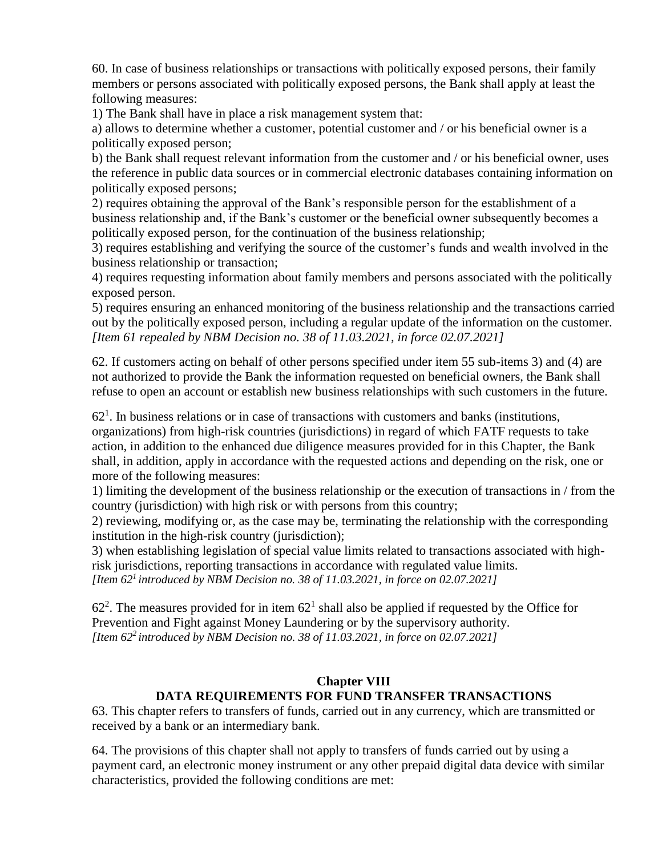60. In case of business relationships or transactions with politically exposed persons, their family members or persons associated with politically exposed persons, the Bank shall apply at least the following measures:

1) The Bank shall have in place a risk management system that:

a) allows to determine whether a customer, potential customer and / or his beneficial owner is a politically exposed person;

b) the Bank shall request relevant information from the customer and / or his beneficial owner, uses the reference in public data sources or in commercial electronic databases containing information on politically exposed persons;

2) requires obtaining the approval of the Bank's responsible person for the establishment of a business relationship and, if the Bank's customer or the beneficial owner subsequently becomes a politically exposed person, for the continuation of the business relationship;

3) requires establishing and verifying the source of the customer's funds and wealth involved in the business relationship or transaction;

4) requires requesting information about family members and persons associated with the politically exposed person.

5) requires ensuring an enhanced monitoring of the business relationship and the transactions carried out by the politically exposed person, including a regular update of the information on the customer. *[Item 61 repealed by NBM Decision no. 38 of 11.03.2021, in force 02.07.2021]*

62. If customers acting on behalf of other persons specified under item 55 sub-items 3) and (4) are not authorized to provide the Bank the information requested on beneficial owners, the Bank shall refuse to open an account or establish new business relationships with such customers in the future.

 $62<sup>1</sup>$ . In business relations or in case of transactions with customers and banks (institutions, organizations) from high-risk countries (jurisdictions) in regard of which FATF requests to take action, in addition to the enhanced due diligence measures provided for in this Chapter, the Bank shall, in addition, apply in accordance with the requested actions and depending on the risk, one or more of the following measures:

1) limiting the development of the business relationship or the execution of transactions in / from the country (jurisdiction) with high risk or with persons from this country;

2) reviewing, modifying or, as the case may be, terminating the relationship with the corresponding institution in the high-risk country (jurisdiction);

3) when establishing legislation of special value limits related to transactions associated with highrisk jurisdictions, reporting transactions in accordance with regulated value limits. *[Item 62<sup>1</sup>introduced by NBM Decision no. 38 of 11.03.2021, in force on 02.07.2021]*

 $62<sup>2</sup>$ . The measures provided for in item  $62<sup>1</sup>$  shall also be applied if requested by the Office for Prevention and Fight against Money Laundering or by the supervisory authority. *[Item 62<sup>2</sup>introduced by NBM Decision no. 38 of 11.03.2021, in force on 02.07.2021]*

# **Chapter VIII DATA REQUIREMENTS FOR FUND TRANSFER TRANSACTIONS**

63. This chapter refers to transfers of funds, carried out in any currency, which are transmitted or received by a bank or an intermediary bank.

64. The provisions of this chapter shall not apply to transfers of funds carried out by using a payment card, an electronic money instrument or any other prepaid digital data device with similar characteristics, provided the following conditions are met: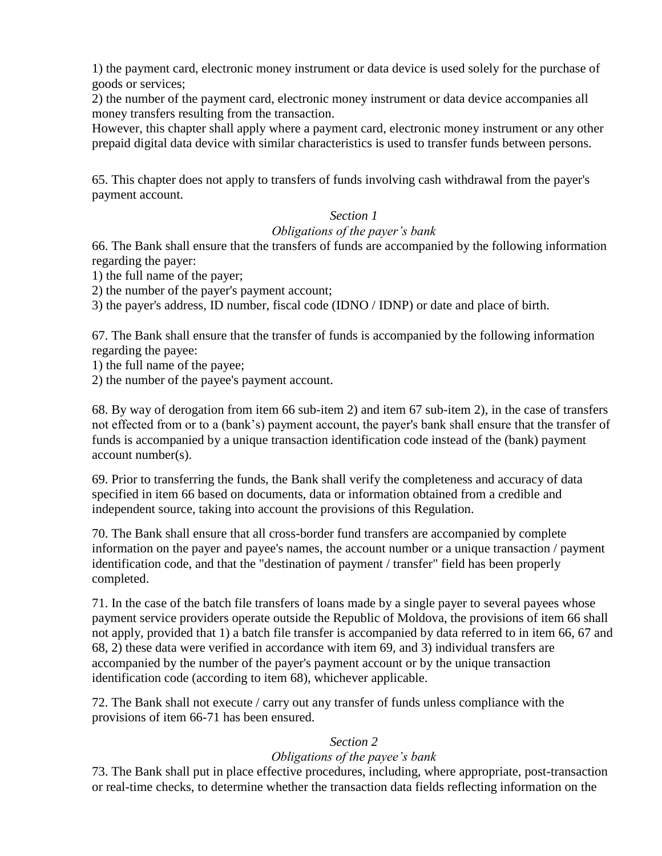1) the payment card, electronic money instrument or data device is used solely for the purchase of goods or services;

2) the number of the payment card, electronic money instrument or data device accompanies all money transfers resulting from the transaction.

However, this chapter shall apply where a payment card, electronic money instrument or any other prepaid digital data device with similar characteristics is used to transfer funds between persons.

65. This chapter does not apply to transfers of funds involving cash withdrawal from the payer's payment account.

## *Section 1*

#### *Obligations of the payer's bank*

66. The Bank shall ensure that the transfers of funds are accompanied by the following information regarding the payer:

1) the full name of the payer;

2) the number of the payer's payment account;

3) the payer's address, ID number, fiscal code (IDNO / IDNP) or date and place of birth.

67. The Bank shall ensure that the transfer of funds is accompanied by the following information regarding the payee:

1) the full name of the payee;

2) the number of the payee's payment account.

68. By way of derogation from item 66 sub-item 2) and item 67 sub-item 2), in the case of transfers not effected from or to a (bank's) payment account, the payer's bank shall ensure that the transfer of funds is accompanied by a unique transaction identification code instead of the (bank) payment account number(s).

69. Prior to transferring the funds, the Bank shall verify the completeness and accuracy of data specified in item 66 based on documents, data or information obtained from a credible and independent source, taking into account the provisions of this Regulation.

70. The Bank shall ensure that all cross-border fund transfers are accompanied by complete information on the payer and payee's names, the account number or a unique transaction / payment identification code, and that the "destination of payment / transfer" field has been properly completed.

71. In the case of the batch file transfers of loans made by a single payer to several payees whose payment service providers operate outside the Republic of Moldova, the provisions of item 66 shall not apply, provided that 1) a batch file transfer is accompanied by data referred to in item 66, 67 and 68, 2) these data were verified in accordance with item 69, and 3) individual transfers are accompanied by the number of the payer's payment account or by the unique transaction identification code (according to item 68), whichever applicable.

72. The Bank shall not execute / carry out any transfer of funds unless compliance with the provisions of item 66-71 has been ensured.

## *Section 2*

## *Obligations of the payee's bank*

73. The Bank shall put in place effective procedures, including, where appropriate, post-transaction or real-time checks, to determine whether the transaction data fields reflecting information on the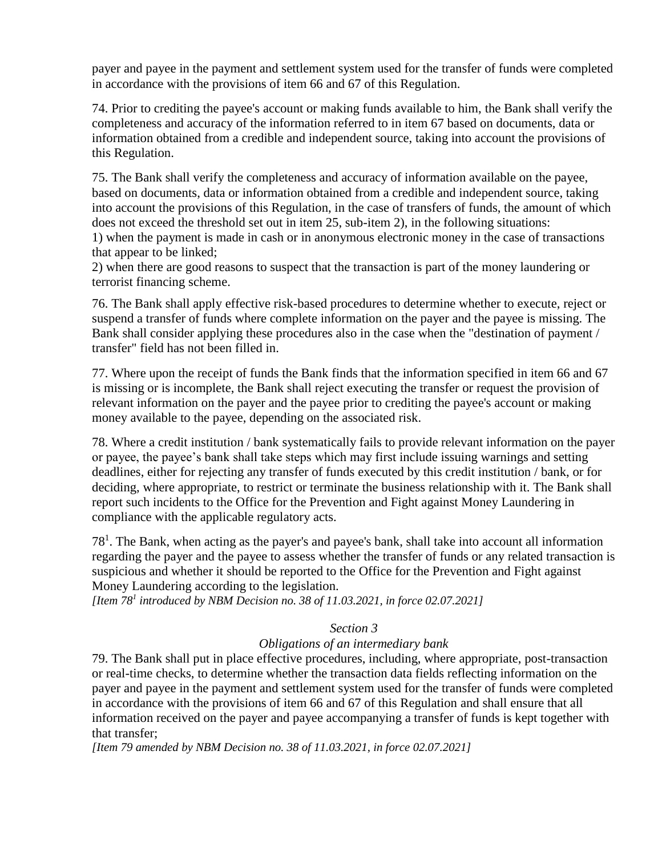payer and payee in the payment and settlement system used for the transfer of funds were completed in accordance with the provisions of item 66 and 67 of this Regulation.

74. Prior to crediting the payee's account or making funds available to him, the Bank shall verify the completeness and accuracy of the information referred to in item 67 based on documents, data or information obtained from a credible and independent source, taking into account the provisions of this Regulation.

75. The Bank shall verify the completeness and accuracy of information available on the payee, based on documents, data or information obtained from a credible and independent source, taking into account the provisions of this Regulation, in the case of transfers of funds, the amount of which does not exceed the threshold set out in item 25, sub-item 2), in the following situations: 1) when the payment is made in cash or in anonymous electronic money in the case of transactions

that appear to be linked; 2) when there are good reasons to suspect that the transaction is part of the money laundering or

terrorist financing scheme.

76. The Bank shall apply effective risk-based procedures to determine whether to execute, reject or suspend a transfer of funds where complete information on the payer and the payee is missing. The Bank shall consider applying these procedures also in the case when the "destination of payment / transfer" field has not been filled in.

77. Where upon the receipt of funds the Bank finds that the information specified in item 66 and 67 is missing or is incomplete, the Bank shall reject executing the transfer or request the provision of relevant information on the payer and the payee prior to crediting the payee's account or making money available to the payee, depending on the associated risk.

78. Where a credit institution / bank systematically fails to provide relevant information on the payer or payee, the payee's bank shall take steps which may first include issuing warnings and setting deadlines, either for rejecting any transfer of funds executed by this credit institution / bank, or for deciding, where appropriate, to restrict or terminate the business relationship with it. The Bank shall report such incidents to the Office for the Prevention and Fight against Money Laundering in compliance with the applicable regulatory acts.

 $78<sup>1</sup>$ . The Bank, when acting as the payer's and payee's bank, shall take into account all information regarding the payer and the payee to assess whether the transfer of funds or any related transaction is suspicious and whether it should be reported to the Office for the Prevention and Fight against Money Laundering according to the legislation.

*[Item 78<sup>1</sup> introduced by NBM Decision no. 38 of 11.03.2021, in force 02.07.2021]*

## *Section 3*

# *Obligations of an intermediary bank*

79. The Bank shall put in place effective procedures, including, where appropriate, post-transaction or real-time checks, to determine whether the transaction data fields reflecting information on the payer and payee in the payment and settlement system used for the transfer of funds were completed in accordance with the provisions of item 66 and 67 of this Regulation and shall ensure that all information received on the payer and payee accompanying a transfer of funds is kept together with that transfer;

*[Item 79 amended by NBM Decision no. 38 of 11.03.2021, in force 02.07.2021]*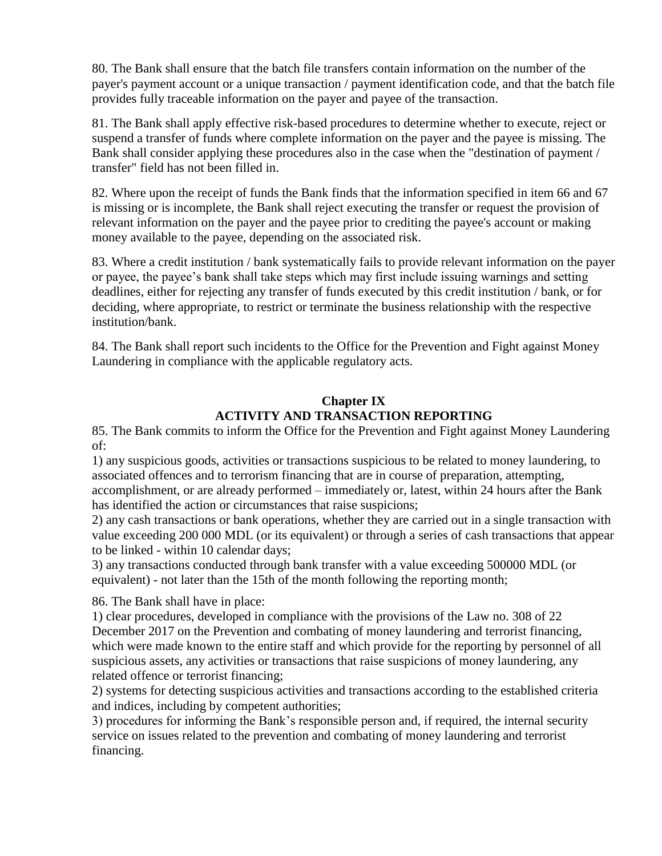80. The Bank shall ensure that the batch file transfers contain information on the number of the payer's payment account or a unique transaction / payment identification code, and that the batch file provides fully traceable information on the payer and payee of the transaction.

81. The Bank shall apply effective risk-based procedures to determine whether to execute, reject or suspend a transfer of funds where complete information on the payer and the payee is missing. The Bank shall consider applying these procedures also in the case when the "destination of payment / transfer" field has not been filled in.

82. Where upon the receipt of funds the Bank finds that the information specified in item 66 and 67 is missing or is incomplete, the Bank shall reject executing the transfer or request the provision of relevant information on the payer and the payee prior to crediting the payee's account or making money available to the payee, depending on the associated risk.

83. Where a credit institution / bank systematically fails to provide relevant information on the payer or payee, the payee's bank shall take steps which may first include issuing warnings and setting deadlines, either for rejecting any transfer of funds executed by this credit institution / bank, or for deciding, where appropriate, to restrict or terminate the business relationship with the respective institution/bank.

84. The Bank shall report such incidents to the Office for the Prevention and Fight against Money Laundering in compliance with the applicable regulatory acts.

# **Chapter IX ACTIVITY AND TRANSACTION REPORTING**

85. The Bank commits to inform the Office for the Prevention and Fight against Money Laundering of:

1) any suspicious goods, activities or transactions suspicious to be related to money laundering, to associated offences and to terrorism financing that are in course of preparation, attempting, accomplishment, or are already performed – immediately or, latest, within 24 hours after the Bank has identified the action or circumstances that raise suspicions;

2) any cash transactions or bank operations, whether they are carried out in a single transaction with value exceeding 200 000 MDL (or its equivalent) or through a series of cash transactions that appear to be linked - within 10 calendar days;

3) any transactions conducted through bank transfer with a value exceeding 500000 MDL (or equivalent) - not later than the 15th of the month following the reporting month;

86. The Bank shall have in place:

1) clear procedures, developed in compliance with the provisions of the Law no. 308 of 22 December 2017 on the Prevention and combating of money laundering and terrorist financing, which were made known to the entire staff and which provide for the reporting by personnel of all suspicious assets, any activities or transactions that raise suspicions of money laundering, any related offence or terrorist financing;

2) systems for detecting suspicious activities and transactions according to the established criteria and indices, including by competent authorities;

3) procedures for informing the Bank's responsible person and, if required, the internal security service on issues related to the prevention and combating of money laundering and terrorist financing.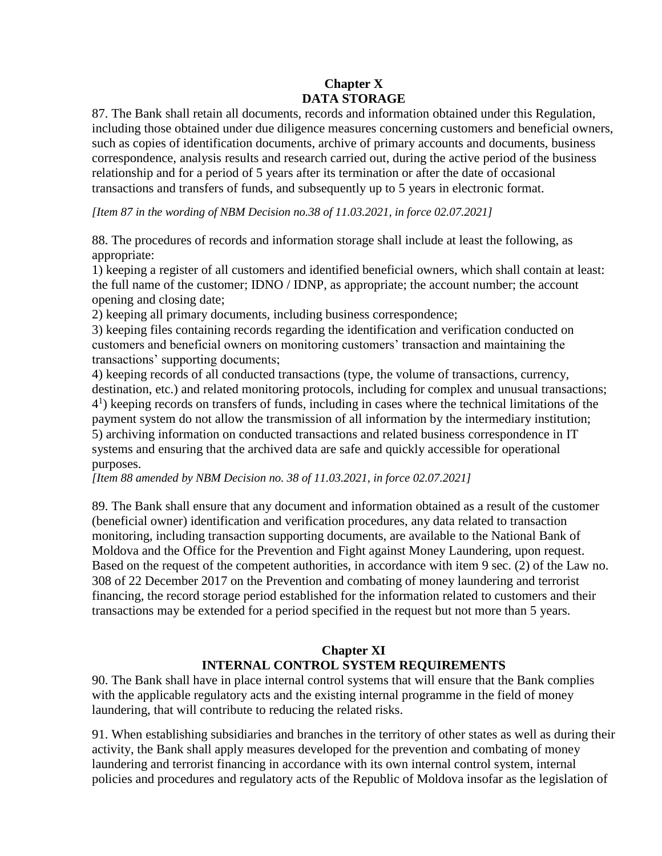# **Chapter X DATA STORAGE**

87. The Bank shall retain all documents, records and information obtained under this Regulation, including those obtained under due diligence measures concerning customers and beneficial owners, such as copies of identification documents, archive of primary accounts and documents, business correspondence, analysis results and research carried out, during the active period of the business relationship and for a period of 5 years after its termination or after the date of occasional transactions and transfers of funds, and subsequently up to 5 years in electronic format.

*[Item 87 in the wording of NBM Decision no.38 of 11.03.2021, in force 02.07.2021]*

88. The procedures of records and information storage shall include at least the following, as appropriate:

1) keeping a register of all customers and identified beneficial owners, which shall contain at least: the full name of the customer; IDNO / IDNP, as appropriate; the account number; the account opening and closing date;

2) keeping all primary documents, including business correspondence;

3) keeping files containing records regarding the identification and verification conducted on customers and beneficial owners on monitoring customers' transaction and maintaining the transactions' supporting documents;

4) keeping records of all conducted transactions (type, the volume of transactions, currency, destination, etc.) and related monitoring protocols, including for complex and unusual transactions; 4 1 ) keeping records on transfers of funds, including in cases where the technical limitations of the payment system do not allow the transmission of all information by the intermediary institution; 5) archiving information on conducted transactions and related business correspondence in IT systems and ensuring that the archived data are safe and quickly accessible for operational purposes.

*[Item 88 amended by NBM Decision no. 38 of 11.03.2021, in force 02.07.2021]*

89. The Bank shall ensure that any document and information obtained as a result of the customer (beneficial owner) identification and verification procedures, any data related to transaction monitoring, including transaction supporting documents, are available to the National Bank of Moldova and the Office for the Prevention and Fight against Money Laundering, upon request. Based on the request of the competent authorities, in accordance with item 9 sec. (2) of the Law no. 308 of 22 December 2017 on the Prevention and combating of money laundering and terrorist financing, the record storage period established for the information related to customers and their transactions may be extended for a period specified in the request but not more than 5 years.

# **Chapter XI INTERNAL CONTROL SYSTEM REQUIREMENTS**

90. The Bank shall have in place internal control systems that will ensure that the Bank complies with the applicable regulatory acts and the existing internal programme in the field of money laundering, that will contribute to reducing the related risks.

91. When establishing subsidiaries and branches in the territory of other states as well as during their activity, the Bank shall apply measures developed for the prevention and combating of money laundering and terrorist financing in accordance with its own internal control system, internal policies and procedures and regulatory acts of the Republic of Moldova insofar as the legislation of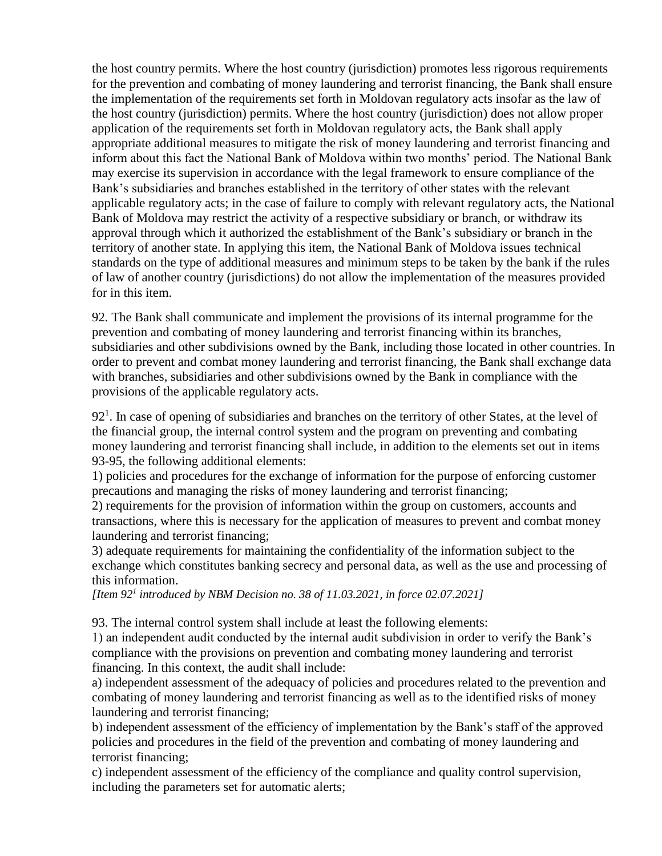the host country permits. Where the host country (jurisdiction) promotes less rigorous requirements for the prevention and combating of money laundering and terrorist financing, the Bank shall ensure the implementation of the requirements set forth in Moldovan regulatory acts insofar as the law of the host country (jurisdiction) permits. Where the host country (jurisdiction) does not allow proper application of the requirements set forth in Moldovan regulatory acts, the Bank shall apply appropriate additional measures to mitigate the risk of money laundering and terrorist financing and inform about this fact the National Bank of Moldova within two months' period. The National Bank may exercise its supervision in accordance with the legal framework to ensure compliance of the Bank's subsidiaries and branches established in the territory of other states with the relevant applicable regulatory acts; in the case of failure to comply with relevant regulatory acts, the National Bank of Moldova may restrict the activity of a respective subsidiary or branch, or withdraw its approval through which it authorized the establishment of the Bank's subsidiary or branch in the territory of another state. In applying this item, the National Bank of Moldova issues technical standards on the type of additional measures and minimum steps to be taken by the bank if the rules of law of another country (jurisdictions) do not allow the implementation of the measures provided for in this item.

92. The Bank shall communicate and implement the provisions of its internal programme for the prevention and combating of money laundering and terrorist financing within its branches, subsidiaries and other subdivisions owned by the Bank, including those located in other countries. In order to prevent and combat money laundering and terrorist financing, the Bank shall exchange data with branches, subsidiaries and other subdivisions owned by the Bank in compliance with the provisions of the applicable regulatory acts.

 $92<sup>1</sup>$ . In case of opening of subsidiaries and branches on the territory of other States, at the level of the financial group, the internal control system and the program on preventing and combating money laundering and terrorist financing shall include, in addition to the elements set out in items 93-95, the following additional elements:

1) policies and procedures for the exchange of information for the purpose of enforcing customer precautions and managing the risks of money laundering and terrorist financing;

2) requirements for the provision of information within the group on customers, accounts and transactions, where this is necessary for the application of measures to prevent and combat money laundering and terrorist financing;

3) adequate requirements for maintaining the confidentiality of the information subject to the exchange which constitutes banking secrecy and personal data, as well as the use and processing of this information.

*[Item 92<sup>1</sup> introduced by NBM Decision no. 38 of 11.03.2021, in force 02.07.2021]*

93. The internal control system shall include at least the following elements:

1) an independent audit conducted by the internal audit subdivision in order to verify the Bank's compliance with the provisions on prevention and combating money laundering and terrorist financing. In this context, the audit shall include:

a) independent assessment of the adequacy of policies and procedures related to the prevention and combating of money laundering and terrorist financing as well as to the identified risks of money laundering and terrorist financing;

b) independent assessment of the efficiency of implementation by the Bank's staff of the approved policies and procedures in the field of the prevention and combating of money laundering and terrorist financing;

c) independent assessment of the efficiency of the compliance and quality control supervision, including the parameters set for automatic alerts;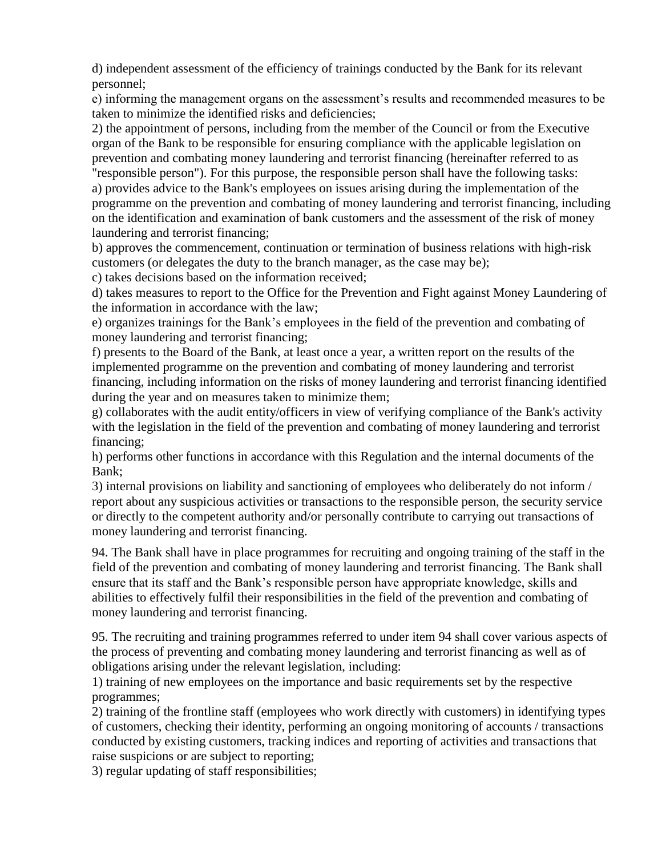d) independent assessment of the efficiency of trainings conducted by the Bank for its relevant personnel;

e) informing the management organs on the assessment's results and recommended measures to be taken to minimize the identified risks and deficiencies;

2) the appointment of persons, including from the member of the Council or from the Executive organ of the Bank to be responsible for ensuring compliance with the applicable legislation on prevention and combating money laundering and terrorist financing (hereinafter referred to as "responsible person"). For this purpose, the responsible person shall have the following tasks: a) provides advice to the Bank's employees on issues arising during the implementation of the

programme on the prevention and combating of money laundering and terrorist financing, including on the identification and examination of bank customers and the assessment of the risk of money laundering and terrorist financing;

b) approves the commencement, continuation or termination of business relations with high-risk customers (or delegates the duty to the branch manager, as the case may be);

c) takes decisions based on the information received;

d) takes measures to report to the Office for the Prevention and Fight against Money Laundering of the information in accordance with the law;

e) organizes trainings for the Bank's employees in the field of the prevention and combating of money laundering and terrorist financing;

f) presents to the Board of the Bank, at least once a year, a written report on the results of the implemented programme on the prevention and combating of money laundering and terrorist financing, including information on the risks of money laundering and terrorist financing identified during the year and on measures taken to minimize them;

g) collaborates with the audit entity/officers in view of verifying compliance of the Bank's activity with the legislation in the field of the prevention and combating of money laundering and terrorist financing;

h) performs other functions in accordance with this Regulation and the internal documents of the Bank;

3) internal provisions on liability and sanctioning of employees who deliberately do not inform / report about any suspicious activities or transactions to the responsible person, the security service or directly to the competent authority and/or personally contribute to carrying out transactions of money laundering and terrorist financing.

94. The Bank shall have in place programmes for recruiting and ongoing training of the staff in the field of the prevention and combating of money laundering and terrorist financing. The Bank shall ensure that its staff and the Bank's responsible person have appropriate knowledge, skills and abilities to effectively fulfil their responsibilities in the field of the prevention and combating of money laundering and terrorist financing.

95. The recruiting and training programmes referred to under item 94 shall cover various aspects of the process of preventing and combating money laundering and terrorist financing as well as of obligations arising under the relevant legislation, including:

1) training of new employees on the importance and basic requirements set by the respective programmes;

2) training of the frontline staff (employees who work directly with customers) in identifying types of customers, checking their identity, performing an ongoing monitoring of accounts / transactions conducted by existing customers, tracking indices and reporting of activities and transactions that raise suspicions or are subject to reporting;

3) regular updating of staff responsibilities;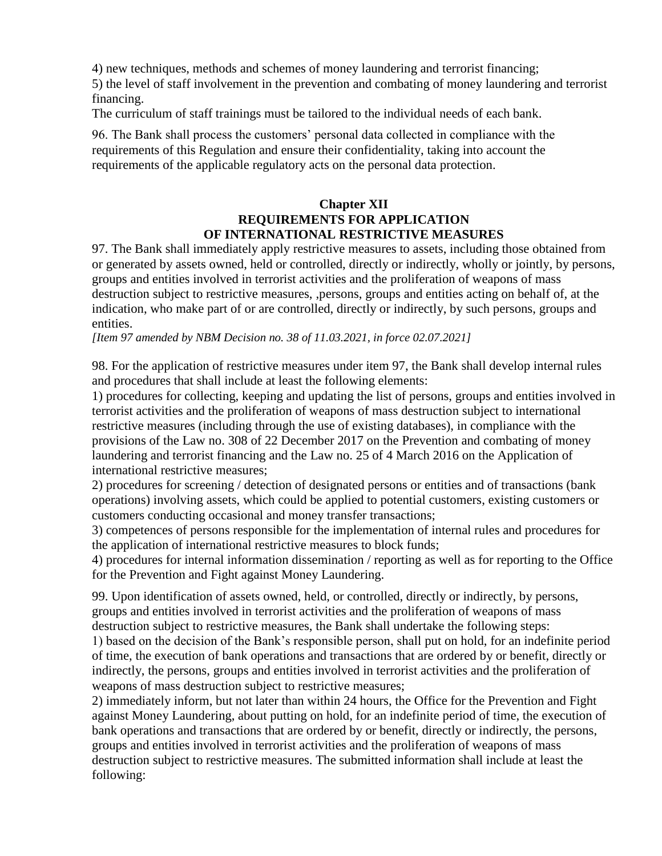4) new techniques, methods and schemes of money laundering and terrorist financing;

5) the level of staff involvement in the prevention and combating of money laundering and terrorist financing.

The curriculum of staff trainings must be tailored to the individual needs of each bank.

96. The Bank shall process the customers' personal data collected in compliance with the requirements of this Regulation and ensure their confidentiality, taking into account the requirements of the applicable regulatory acts on the personal data protection.

## **Chapter XII REQUIREMENTS FOR APPLICATION OF INTERNATIONAL RESTRICTIVE MEASURES**

97. The Bank shall immediately apply restrictive measures to assets, including those obtained from or generated by assets owned, held or controlled, directly or indirectly, wholly or jointly, by persons, groups and entities involved in terrorist activities and the proliferation of weapons of mass destruction subject to restrictive measures, ,persons, groups and entities acting on behalf of, at the indication, who make part of or are controlled, directly or indirectly, by such persons, groups and entities.

*[Item 97 amended by NBM Decision no. 38 of 11.03.2021, in force 02.07.2021]*

98. For the application of restrictive measures under item 97, the Bank shall develop internal rules and procedures that shall include at least the following elements:

1) procedures for collecting, keeping and updating the list of persons, groups and entities involved in terrorist activities and the proliferation of weapons of mass destruction subject to international restrictive measures (including through the use of existing databases), in compliance with the provisions of the Law no. 308 of 22 December 2017 on the Prevention and combating of money laundering and terrorist financing and the Law no. 25 of 4 March 2016 on the Application of international restrictive measures;

2) procedures for screening / detection of designated persons or entities and of transactions (bank operations) involving assets, which could be applied to potential customers, existing customers or customers conducting occasional and money transfer transactions;

3) competences of persons responsible for the implementation of internal rules and procedures for the application of international restrictive measures to block funds;

4) procedures for internal information dissemination / reporting as well as for reporting to the Office for the Prevention and Fight against Money Laundering.

99. Upon identification of assets owned, held, or controlled, directly or indirectly, by persons, groups and entities involved in terrorist activities and the proliferation of weapons of mass destruction subject to restrictive measures, the Bank shall undertake the following steps:

1) based on the decision of the Bank's responsible person, shall put on hold, for an indefinite period of time, the execution of bank operations and transactions that are ordered by or benefit, directly or indirectly, the persons, groups and entities involved in terrorist activities and the proliferation of weapons of mass destruction subject to restrictive measures;

2) immediately inform, but not later than within 24 hours, the Office for the Prevention and Fight against Money Laundering, about putting on hold, for an indefinite period of time, the execution of bank operations and transactions that are ordered by or benefit, directly or indirectly, the persons, groups and entities involved in terrorist activities and the proliferation of weapons of mass destruction subject to restrictive measures. The submitted information shall include at least the following: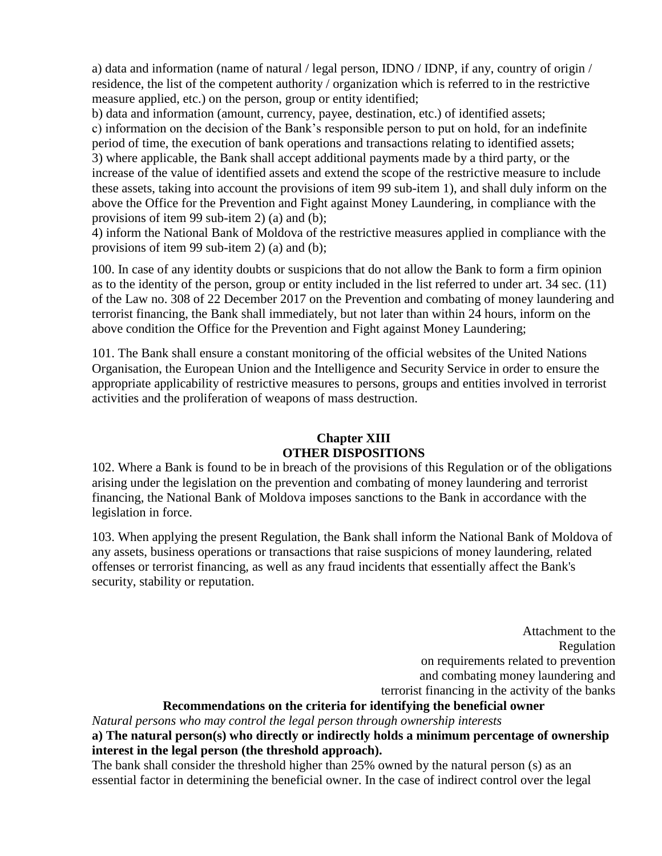a) data and information (name of natural / legal person, IDNO / IDNP, if any, country of origin / residence, the list of the competent authority / organization which is referred to in the restrictive measure applied, etc.) on the person, group or entity identified;

b) data and information (amount, currency, payee, destination, etc.) of identified assets; c) information on the decision of the Bank's responsible person to put on hold, for an indefinite period of time, the execution of bank operations and transactions relating to identified assets; 3) where applicable, the Bank shall accept additional payments made by a third party, or the increase of the value of identified assets and extend the scope of the restrictive measure to include these assets, taking into account the provisions of item 99 sub-item 1), and shall duly inform on the above the Office for the Prevention and Fight against Money Laundering, in compliance with the provisions of item 99 sub-item 2) (a) and (b);

4) inform the National Bank of Moldova of the restrictive measures applied in compliance with the provisions of item 99 sub-item 2) (a) and (b);

100. In case of any identity doubts or suspicions that do not allow the Bank to form a firm opinion as to the identity of the person, group or entity included in the list referred to under art. 34 sec. (11) of the Law no. 308 of 22 December 2017 on the Prevention and combating of money laundering and terrorist financing, the Bank shall immediately, but not later than within 24 hours, inform on the above condition the Office for the Prevention and Fight against Money Laundering;

101. The Bank shall ensure a constant monitoring of the official websites of the United Nations Organisation, the European Union and the Intelligence and Security Service in order to ensure the appropriate applicability of restrictive measures to persons, groups and entities involved in terrorist activities and the proliferation of weapons of mass destruction.

# **Chapter XIII OTHER DISPOSITIONS**

102. Where a Bank is found to be in breach of the provisions of this Regulation or of the obligations arising under the legislation on the prevention and combating of money laundering and terrorist financing, the National Bank of Moldova imposes sanctions to the Bank in accordance with the legislation in force.

103. When applying the present Regulation, the Bank shall inform the National Bank of Moldova of any assets, business operations or transactions that raise suspicions of money laundering, related offenses or terrorist financing, as well as any fraud incidents that essentially affect the Bank's security, stability or reputation.

> Attachment to the Regulation on requirements related to prevention and combating money laundering and terrorist financing in the activity of the banks

# **Recommendations on the criteria for identifying the beneficial owner**

*Natural persons who may control the legal person through ownership interests*

**a) The natural person(s) who directly or indirectly holds a minimum percentage of ownership interest in the legal person (the threshold approach).**

The bank shall consider the threshold higher than 25% owned by the natural person (s) as an essential factor in determining the beneficial owner. In the case of indirect control over the legal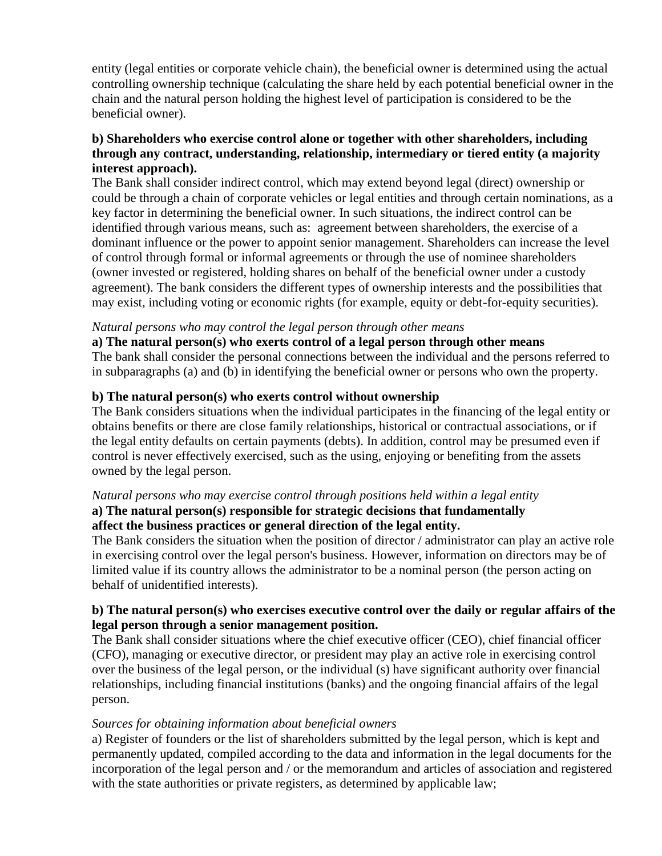entity (legal entities or corporate vehicle chain), the beneficial owner is determined using the actual controlling ownership technique (calculating the share held by each potential beneficial owner in the chain and the natural person holding the highest level of participation is considered to be the beneficial owner).

#### **b) Shareholders who exercise control alone or together with other shareholders, including through any contract, understanding, relationship, intermediary or tiered entity (a majority interest approach).**

The Bank shall consider indirect control, which may extend beyond legal (direct) ownership or could be through a chain of corporate vehicles or legal entities and through certain nominations, as a key factor in determining the beneficial owner. In such situations, the indirect control can be identified through various means, such as: agreement between shareholders, the exercise of a dominant influence or the power to appoint senior management. Shareholders can increase the level of control through formal or informal agreements or through the use of nominee shareholders (owner invested or registered, holding shares on behalf of the beneficial owner under a custody agreement). The bank considers the different types of ownership interests and the possibilities that may exist, including voting or economic rights (for example, equity or debt-for-equity securities).

#### *Natural persons who may control the legal person through other means*

**a) The natural person(s) who exerts control of a legal person through other means** The bank shall consider the personal connections between the individual and the persons referred to in subparagraphs (a) and (b) in identifying the beneficial owner or persons who own the property.

## **b) The natural person(s) who exerts control without ownership**

The Bank considers situations when the individual participates in the financing of the legal entity or obtains benefits or there are close family relationships, historical or contractual associations, or if the legal entity defaults on certain payments (debts). In addition, control may be presumed even if control is never effectively exercised, such as the using, enjoying or benefiting from the assets owned by the legal person.

## *Natural persons who may exercise control through positions held within a legal entity*

## **a) The natural person(s) responsible for strategic decisions that fundamentally affect the business practices or general direction of the legal entity.**

The Bank considers the situation when the position of director / administrator can play an active role in exercising control over the legal person's business. However, information on directors may be of limited value if its country allows the administrator to be a nominal person (the person acting on behalf of unidentified interests).

#### **b) The natural person(s) who exercises executive control over the daily or regular affairs of the legal person through a senior management position.**

The Bank shall consider situations where the chief executive officer (CEO), chief financial officer (CFO), managing or executive director, or president may play an active role in exercising control over the business of the legal person, or the individual (s) have significant authority over financial relationships, including financial institutions (banks) and the ongoing financial affairs of the legal person.

#### *Sources for obtaining information about beneficial owners*

a) Register of founders or the list of shareholders submitted by the legal person, which is kept and permanently updated, compiled according to the data and information in the legal documents for the incorporation of the legal person and / or the memorandum and articles of association and registered with the state authorities or private registers, as determined by applicable law;